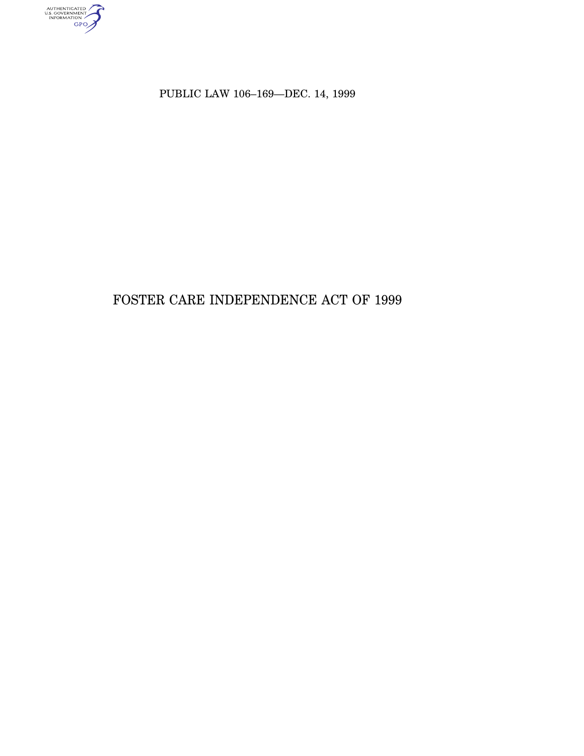AUTHENTICATED<br>U.S. GOVERNMENT<br>INFORMATION<br>GPO

PUBLIC LAW 106–169—DEC. 14, 1999

# FOSTER CARE INDEPENDENCE ACT OF 1999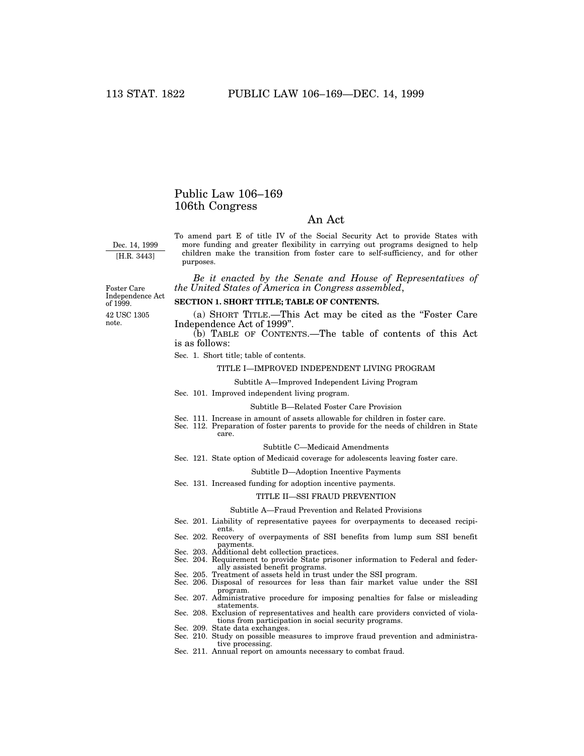# Public Law 106–169 106th Congress

# An Act

Dec. 14, 1999 [H.R. 3443]

To amend part E of title IV of the Social Security Act to provide States with more funding and greater flexibility in carrying out programs designed to help children make the transition from foster care to self-sufficiency, and for other purposes.

*Be it enacted by the Senate and House of Representatives of the United States of America in Congress assembled*,

42 USC 1305 note. Foster Care Independence Act of 1999.

#### **SECTION 1. SHORT TITLE; TABLE OF CONTENTS.**

(a) SHORT TITLE.—This Act may be cited as the ''Foster Care Independence Act of 1999''.

(b) TABLE OF CONTENTS.—The table of contents of this Act is as follows:

#### Sec. 1. Short title; table of contents.

### TITLE I—IMPROVED INDEPENDENT LIVING PROGRAM

Subtitle A—Improved Independent Living Program

Sec. 101. Improved independent living program.

#### Subtitle B—Related Foster Care Provision

- Sec. 111. Increase in amount of assets allowable for children in foster care.
- Sec. 112. Preparation of foster parents to provide for the needs of children in State care.

### Subtitle C—Medicaid Amendments

Sec. 121. State option of Medicaid coverage for adolescents leaving foster care.

#### Subtitle D—Adoption Incentive Payments

Sec. 131. Increased funding for adoption incentive payments.

#### TITLE II—SSI FRAUD PREVENTION

# Subtitle A—Fraud Prevention and Related Provisions

- Sec. 201. Liability of representative payees for overpayments to deceased recipients.
- Sec. 202. Recovery of overpayments of SSI benefits from lump sum SSI benefit payments.
- Sec. 203. Additional debt collection practices.
- Sec. 204. Requirement to provide State prisoner information to Federal and federally assisted benefit programs.
- Sec. 205. Treatment of assets held in trust under the SSI program.
- Sec. 206. Disposal of resources for less than fair market value under the SSI program.
- Sec. 207. Administrative procedure for imposing penalties for false or misleading statements.
- Sec. 208. Exclusion of representatives and health care providers convicted of violations from participation in social security programs.
- Sec. 209. State data exchanges.
- Sec. 210. Study on possible measures to improve fraud prevention and administrative processing.
- Sec. 211. Annual report on amounts necessary to combat fraud.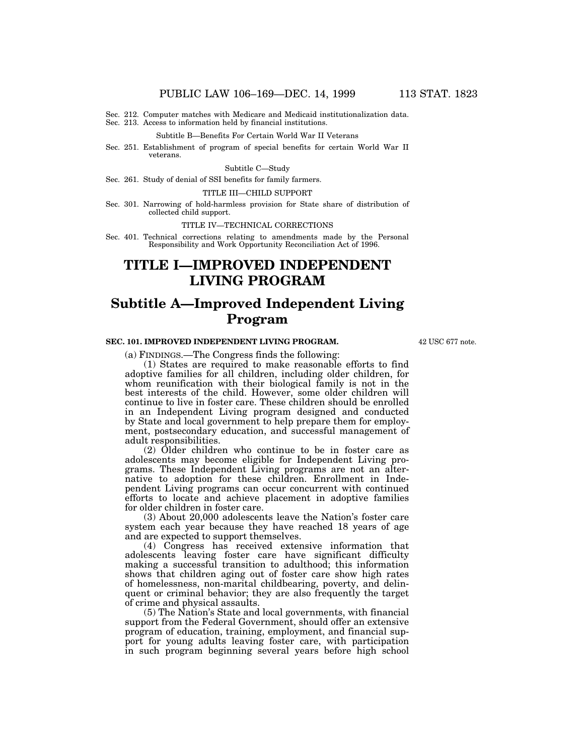Sec. 213. Access to information held by financial institutions.

#### Subtitle B—Benefits For Certain World War II Veterans

Sec. 251. Establishment of program of special benefits for certain World War II veterans.

#### Subtitle C—Study

Sec. 261. Study of denial of SSI benefits for family farmers.

#### TITLE III—CHILD SUPPORT

Sec. 301. Narrowing of hold-harmless provision for State share of distribution of collected child support.

#### TITLE IV—TECHNICAL CORRECTIONS

Sec. 401. Technical corrections relating to amendments made by the Personal Responsibility and Work Opportunity Reconciliation Act of 1996.

# **TITLE I—IMPROVED INDEPENDENT LIVING PROGRAM**

# **Subtitle A—Improved Independent Living Program**

# **SEC. 101. IMPROVED INDEPENDENT LIVING PROGRAM.**

42 USC 677 note.

(a) FINDINGS.—The Congress finds the following:

(1) States are required to make reasonable efforts to find adoptive families for all children, including older children, for whom reunification with their biological family is not in the best interests of the child. However, some older children will continue to live in foster care. These children should be enrolled in an Independent Living program designed and conducted by State and local government to help prepare them for employment, postsecondary education, and successful management of adult responsibilities.

(2) Older children who continue to be in foster care as adolescents may become eligible for Independent Living programs. These Independent Living programs are not an alternative to adoption for these children. Enrollment in Independent Living programs can occur concurrent with continued efforts to locate and achieve placement in adoptive families for older children in foster care.

(3) About 20,000 adolescents leave the Nation's foster care system each year because they have reached 18 years of age and are expected to support themselves.

(4) Congress has received extensive information that adolescents leaving foster care have significant difficulty making a successful transition to adulthood; this information shows that children aging out of foster care show high rates of homelessness, non-marital childbearing, poverty, and delinquent or criminal behavior; they are also frequently the target of crime and physical assaults.

(5) The Nation's State and local governments, with financial support from the Federal Government, should offer an extensive program of education, training, employment, and financial support for young adults leaving foster care, with participation in such program beginning several years before high school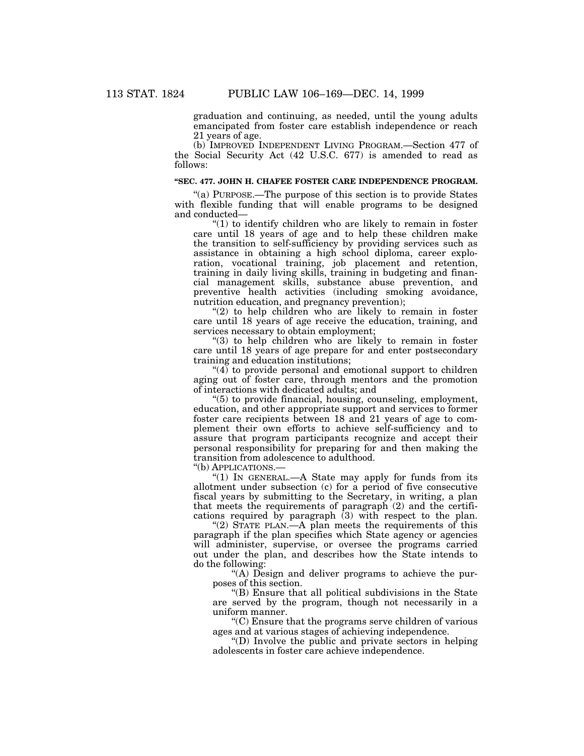graduation and continuing, as needed, until the young adults emancipated from foster care establish independence or reach 21 years of age.

(b) IMPROVED INDEPENDENT LIVING PROGRAM.—Section 477 of the Social Security Act (42 U.S.C. 677) is amended to read as follows:

# **''SEC. 477. JOHN H. CHAFEE FOSTER CARE INDEPENDENCE PROGRAM.**

''(a) PURPOSE.—The purpose of this section is to provide States with flexible funding that will enable programs to be designed and conducted—

''(1) to identify children who are likely to remain in foster care until 18 years of age and to help these children make the transition to self-sufficiency by providing services such as assistance in obtaining a high school diploma, career exploration, vocational training, job placement and retention, training in daily living skills, training in budgeting and financial management skills, substance abuse prevention, and preventive health activities (including smoking avoidance, nutrition education, and pregnancy prevention);

" $(2)$  to help children who are likely to remain in foster care until 18 years of age receive the education, training, and services necessary to obtain employment;

"(3) to help children who are likely to remain in foster care until 18 years of age prepare for and enter postsecondary training and education institutions;

 $\mathcal{L}(4)$  to provide personal and emotional support to children aging out of foster care, through mentors and the promotion of interactions with dedicated adults; and

''(5) to provide financial, housing, counseling, employment, education, and other appropriate support and services to former foster care recipients between 18 and 21 years of age to complement their own efforts to achieve self-sufficiency and to assure that program participants recognize and accept their personal responsibility for preparing for and then making the transition from adolescence to adulthood.

"(b) APPLICATIONS.-

" $(1)$  In GENERAL.—A State may apply for funds from its allotment under subsection (c) for a period of five consecutive fiscal years by submitting to the Secretary, in writing, a plan that meets the requirements of paragraph (2) and the certifications required by paragraph (3) with respect to the plan.

"(2) STATE PLAN.—A plan meets the requirements of this paragraph if the plan specifies which State agency or agencies will administer, supervise, or oversee the programs carried out under the plan, and describes how the State intends to do the following:

"(A) Design and deliver programs to achieve the purposes of this section.

''(B) Ensure that all political subdivisions in the State are served by the program, though not necessarily in a uniform manner.

''(C) Ensure that the programs serve children of various ages and at various stages of achieving independence.

''(D) Involve the public and private sectors in helping adolescents in foster care achieve independence.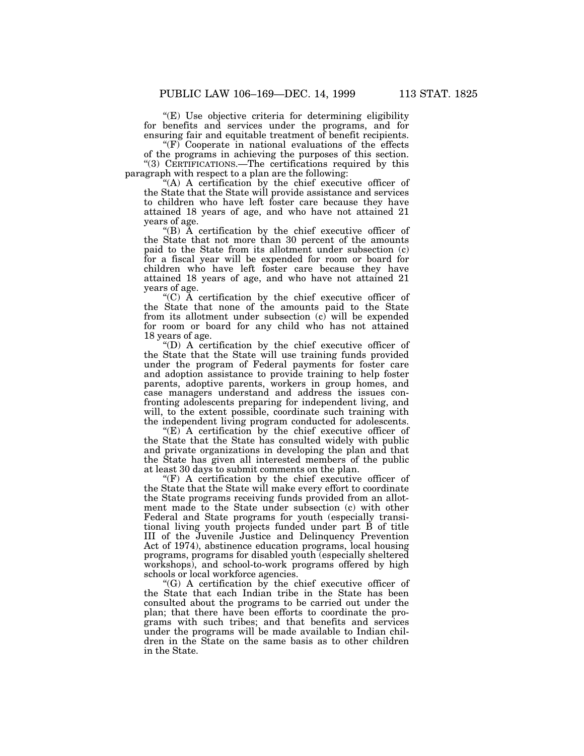''(E) Use objective criteria for determining eligibility for benefits and services under the programs, and for ensuring fair and equitable treatment of benefit recipients.

"(F) Cooperate in national evaluations of the effects of the programs in achieving the purposes of this section. ''(3) CERTIFICATIONS.—The certifications required by this paragraph with respect to a plan are the following:

''(A) A certification by the chief executive officer of the State that the State will provide assistance and services to children who have left foster care because they have attained 18 years of age, and who have not attained 21 years of age.

''(B) A certification by the chief executive officer of the State that not more than 30 percent of the amounts paid to the State from its allotment under subsection (c) for a fiscal year will be expended for room or board for children who have left foster care because they have attained 18 years of age, and who have not attained 21 years of age.

 $(C)$  A certification by the chief executive officer of the State that none of the amounts paid to the State from its allotment under subsection (c) will be expended for room or board for any child who has not attained 18 years of age.

''(D) A certification by the chief executive officer of the State that the State will use training funds provided under the program of Federal payments for foster care and adoption assistance to provide training to help foster parents, adoptive parents, workers in group homes, and case managers understand and address the issues confronting adolescents preparing for independent living, and will, to the extent possible, coordinate such training with the independent living program conducted for adolescents.

" $(E)$ <sup> $\Lambda$ </sup> certification by the chief executive officer of the State that the State has consulted widely with public and private organizations in developing the plan and that the State has given all interested members of the public at least 30 days to submit comments on the plan.

''(F) A certification by the chief executive officer of the State that the State will make every effort to coordinate the State programs receiving funds provided from an allotment made to the State under subsection (c) with other Federal and State programs for youth (especially transitional living youth projects funded under part B of title III of the Juvenile Justice and Delinquency Prevention Act of 1974), abstinence education programs, local housing programs, programs for disabled youth (especially sheltered workshops), and school-to-work programs offered by high schools or local workforce agencies.

''(G) A certification by the chief executive officer of the State that each Indian tribe in the State has been consulted about the programs to be carried out under the plan; that there have been efforts to coordinate the programs with such tribes; and that benefits and services under the programs will be made available to Indian children in the State on the same basis as to other children in the State.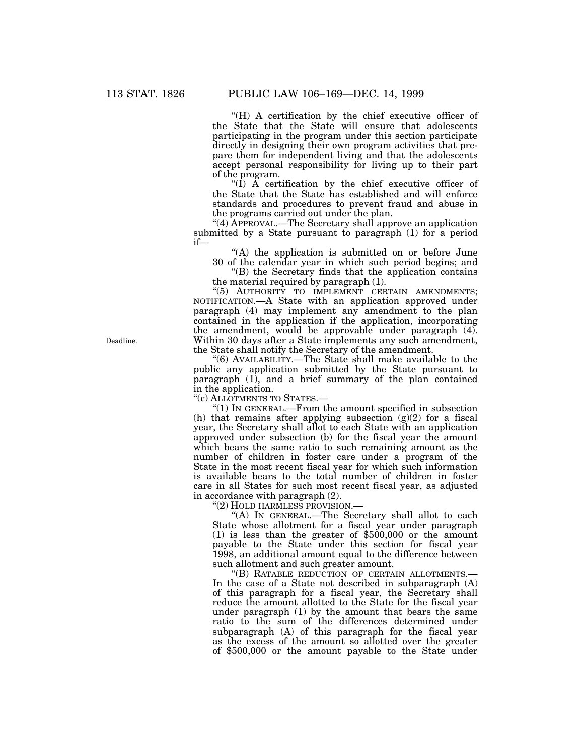''(H) A certification by the chief executive officer of the State that the State will ensure that adolescents participating in the program under this section participate directly in designing their own program activities that prepare them for independent living and that the adolescents accept personal responsibility for living up to their part of the program.

" $(\hat{I})$  A certification by the chief executive officer of the State that the State has established and will enforce standards and procedures to prevent fraud and abuse in the programs carried out under the plan.

''(4) APPROVAL.—The Secretary shall approve an application submitted by a State pursuant to paragraph (1) for a period if—

"(A) the application is submitted on or before June 30 of the calendar year in which such period begins; and

''(B) the Secretary finds that the application contains the material required by paragraph (1).

"(5) AUTHORITY TO IMPLEMENT CERTAIN AMENDMENTS; NOTIFICATION.—A State with an application approved under paragraph (4) may implement any amendment to the plan contained in the application if the application, incorporating the amendment, would be approvable under paragraph (4). Within 30 days after a State implements any such amendment, the State shall notify the Secretary of the amendment.

''(6) AVAILABILITY.—The State shall make available to the public any application submitted by the State pursuant to paragraph (1), and a brief summary of the plan contained in the application.

''(c) ALLOTMENTS TO STATES.—

''(1) IN GENERAL.—From the amount specified in subsection (h) that remains after applying subsection  $(g)(2)$  for a fiscal year, the Secretary shall allot to each State with an application approved under subsection (b) for the fiscal year the amount which bears the same ratio to such remaining amount as the number of children in foster care under a program of the State in the most recent fiscal year for which such information is available bears to the total number of children in foster care in all States for such most recent fiscal year, as adjusted in accordance with paragraph (2).

''(2) HOLD HARMLESS PROVISION.—

''(A) IN GENERAL.—The Secretary shall allot to each State whose allotment for a fiscal year under paragraph  $(1)$  is less than the greater of \$500,000 or the amount payable to the State under this section for fiscal year 1998, an additional amount equal to the difference between such allotment and such greater amount.

"(B) RATABLE REDUCTION OF CERTAIN ALLOTMENTS.-In the case of a State not described in subparagraph (A) of this paragraph for a fiscal year, the Secretary shall reduce the amount allotted to the State for the fiscal year under paragraph (1) by the amount that bears the same ratio to the sum of the differences determined under subparagraph (A) of this paragraph for the fiscal year as the excess of the amount so allotted over the greater of \$500,000 or the amount payable to the State under

Deadline.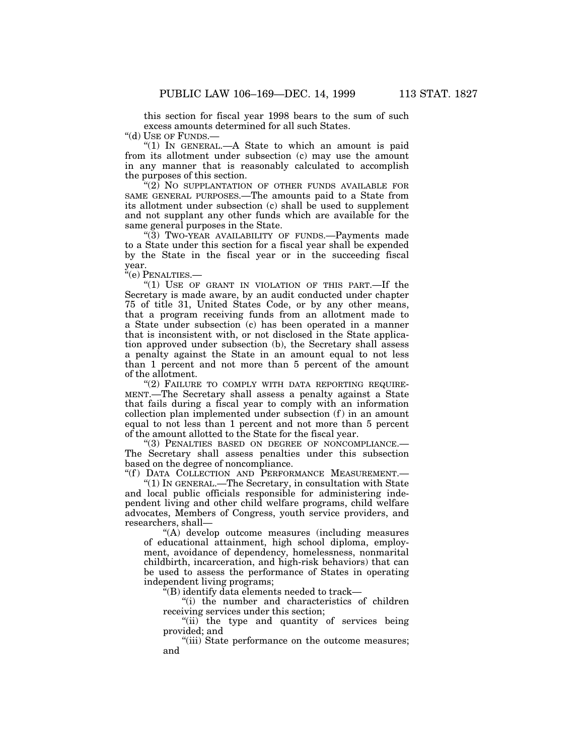this section for fiscal year 1998 bears to the sum of such excess amounts determined for all such States.

"(d) USE OF FUNDS.-

" $(1)$  IN GENERAL.—A State to which an amount is paid from its allotment under subsection (c) may use the amount in any manner that is reasonably calculated to accomplish the purposes of this section.

"(2) NO SUPPLANTATION OF OTHER FUNDS AVAILABLE FOR SAME GENERAL PURPOSES.—The amounts paid to a State from its allotment under subsection (c) shall be used to supplement and not supplant any other funds which are available for the same general purposes in the State.

"(3) TWO-YEAR AVAILABILITY OF FUNDS.-Payments made to a State under this section for a fiscal year shall be expended by the State in the fiscal year or in the succeeding fiscal year.

''(e) PENALTIES.—

"(1) USE OF GRANT IN VIOLATION OF THIS PART.—If the Secretary is made aware, by an audit conducted under chapter 75 of title 31, United States Code, or by any other means, that a program receiving funds from an allotment made to a State under subsection (c) has been operated in a manner that is inconsistent with, or not disclosed in the State application approved under subsection (b), the Secretary shall assess a penalty against the State in an amount equal to not less than 1 percent and not more than 5 percent of the amount of the allotment.

"(2) FAILURE TO COMPLY WITH DATA REPORTING REQUIRE-MENT.—The Secretary shall assess a penalty against a State that fails during a fiscal year to comply with an information  $c$ ollection plan implemented under subsection  $(f)$  in an amount equal to not less than 1 percent and not more than 5 percent of the amount allotted to the State for the fiscal year.

''(3) PENALTIES BASED ON DEGREE OF NONCOMPLIANCE.— The Secretary shall assess penalties under this subsection based on the degree of noncompliance.

"(f) DATA COLLECTION AND PERFORMANCE MEASUREMENT.-

''(1) IN GENERAL.—The Secretary, in consultation with State and local public officials responsible for administering independent living and other child welfare programs, child welfare advocates, Members of Congress, youth service providers, and researchers, shall—

''(A) develop outcome measures (including measures of educational attainment, high school diploma, employment, avoidance of dependency, homelessness, nonmarital childbirth, incarceration, and high-risk behaviors) that can be used to assess the performance of States in operating independent living programs;

''(B) identify data elements needed to track—

''(i) the number and characteristics of children receiving services under this section;

"(ii) the type and quantity of services being provided; and

"(iii) State performance on the outcome measures; and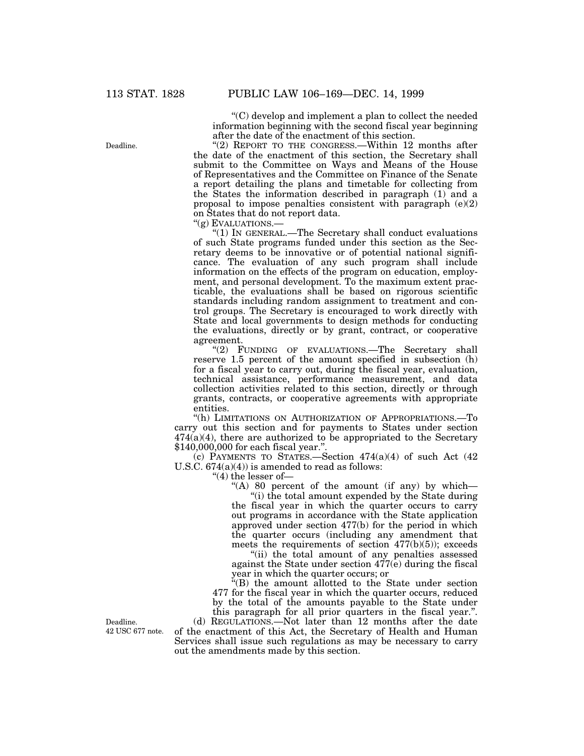''(C) develop and implement a plan to collect the needed information beginning with the second fiscal year beginning after the date of the enactment of this section.

"(2) REPORT TO THE CONGRESS.—Within 12 months after the date of the enactment of this section, the Secretary shall submit to the Committee on Ways and Means of the House of Representatives and the Committee on Finance of the Senate a report detailing the plans and timetable for collecting from the States the information described in paragraph (1) and a proposal to impose penalties consistent with paragraph  $(e)(2)$ on States that do not report data.

''(g) EVALUATIONS.—

''(1) IN GENERAL.—The Secretary shall conduct evaluations of such State programs funded under this section as the Secretary deems to be innovative or of potential national significance. The evaluation of any such program shall include information on the effects of the program on education, employment, and personal development. To the maximum extent practicable, the evaluations shall be based on rigorous scientific standards including random assignment to treatment and control groups. The Secretary is encouraged to work directly with State and local governments to design methods for conducting the evaluations, directly or by grant, contract, or cooperative agreement.

"(2) FUNDING OF EVALUATIONS.—The Secretary shall reserve 1.5 percent of the amount specified in subsection (h) for a fiscal year to carry out, during the fiscal year, evaluation, technical assistance, performance measurement, and data collection activities related to this section, directly or through grants, contracts, or cooperative agreements with appropriate entities.

''(h) LIMITATIONS ON AUTHORIZATION OF APPROPRIATIONS.—To carry out this section and for payments to States under section 474(a)(4), there are authorized to be appropriated to the Secretary \$140,000,000 for each fiscal year.''.

(c) PAYMENTS TO STATES.—Section  $474(a)(4)$  of such Act  $(42)$ U.S.C. 674(a)(4)) is amended to read as follows:

" $(4)$  the lesser of-

"(A) 80 percent of the amount (if any) by which— ''(i) the total amount expended by the State during the fiscal year in which the quarter occurs to carry out programs in accordance with the State application approved under section 477(b) for the period in which the quarter occurs (including any amendment that meets the requirements of section  $477(b)(5)$ ; exceeds

''(ii) the total amount of any penalties assessed against the State under section 477(e) during the fiscal year in which the quarter occurs; or

''(B) the amount allotted to the State under section 477 for the fiscal year in which the quarter occurs, reduced by the total of the amounts payable to the State under this paragraph for all prior quarters in the fiscal year.''.

(d) REGULATIONS.—Not later than 12 months after the date of the enactment of this Act, the Secretary of Health and Human Services shall issue such regulations as may be necessary to carry out the amendments made by this section.

Deadline. 42 USC 677 note.

Deadline.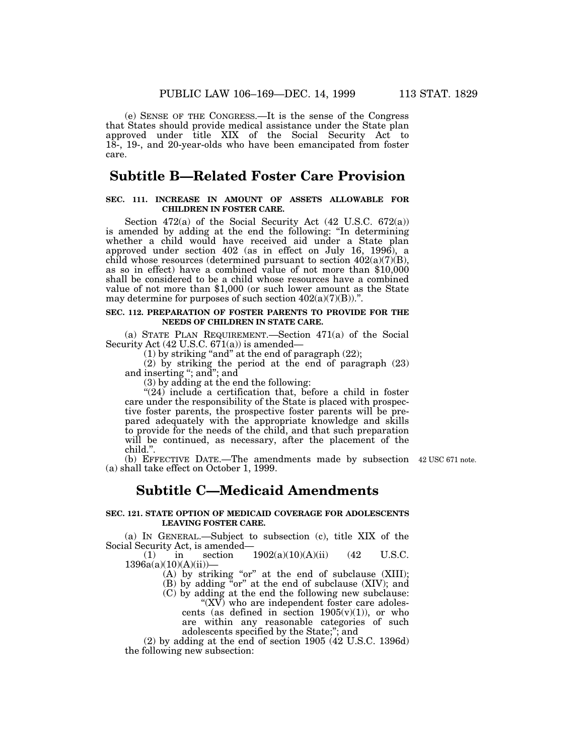(e) SENSE OF THE CONGRESS.—It is the sense of the Congress that States should provide medical assistance under the State plan approved under title XIX of the Social Security Act to 18-, 19-, and 20-year-olds who have been emancipated from foster care.

# **Subtitle B—Related Foster Care Provision**

# **SEC. 111. INCREASE IN AMOUNT OF ASSETS ALLOWABLE FOR CHILDREN IN FOSTER CARE.**

Section 472(a) of the Social Security Act (42 U.S.C. 672(a)) is amended by adding at the end the following: ''In determining whether a child would have received aid under a State plan approved under section 402 (as in effect on July 16, 1996), a child whose resources (determined pursuant to section  $402(a)(7)(B)$ , as so in effect) have a combined value of not more than \$10,000 shall be considered to be a child whose resources have a combined value of not more than \$1,000 (or such lower amount as the State may determine for purposes of such section  $402(a)(7)(B)$ .".

### **SEC. 112. PREPARATION OF FOSTER PARENTS TO PROVIDE FOR THE NEEDS OF CHILDREN IN STATE CARE.**

(a) STATE PLAN REQUIREMENT.—Section 471(a) of the Social Security Act (42 U.S.C. 671(a)) is amended—

 $(1)$  by striking "and" at the end of paragraph  $(22)$ ;

(2) by striking the period at the end of paragraph (23) and inserting ''; and''; and

(3) by adding at the end the following:

 $(24)$  include a certification that, before a child in foster care under the responsibility of the State is placed with prospective foster parents, the prospective foster parents will be prepared adequately with the appropriate knowledge and skills to provide for the needs of the child, and that such preparation will be continued, as necessary, after the placement of the child.''.

(b) EFFECTIVE DATE.—The amendments made by subsection 42 USC 671 note. (a) shall take effect on October 1, 1999.

# **Subtitle C—Medicaid Amendments**

# **SEC. 121. STATE OPTION OF MEDICAID COVERAGE FOR ADOLESCENTS LEAVING FOSTER CARE.**

(a) IN GENERAL.—Subject to subsection (c), title XIX of the Social Security Act, is amended—<br>(1) in section

(1) in section  $1902(a)(10)(A)(ii)$  (42 U.S.C. 1396a(a)(10)(A)(ii))—

(A) by striking "or" at the end of subclause (XIII);

(B) by adding ''or'' at the end of subclause (XIV); and

(C) by adding at the end the following new subclause: " $(XV)$  who are independent foster care adolescents (as defined in section  $1905(v)(1)$ ), or who

are within any reasonable categories of such adolescents specified by the State;''; and

(2) by adding at the end of section 1905 (42 U.S.C. 1396d) the following new subsection: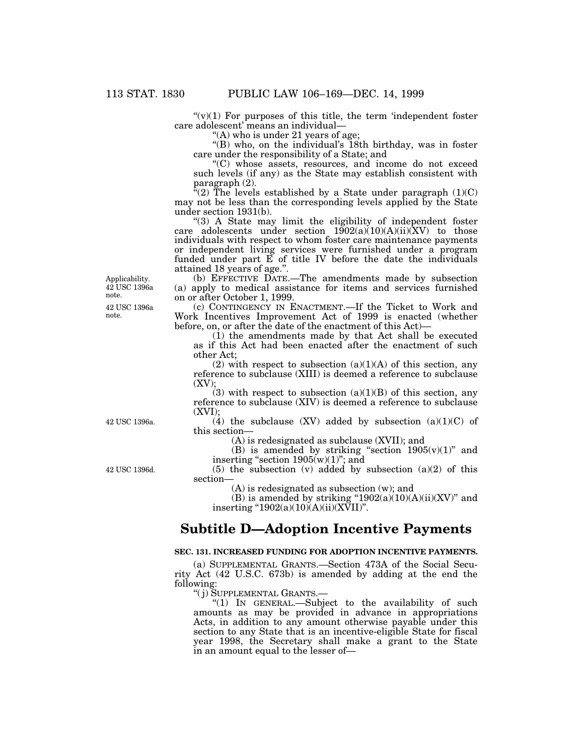" $(v)(1)$  For purposes of this title, the term 'independent foster care adolescent' means an individual—

 $f(A)$  who is under 21 years of age;

"(B) who, on the individual's  $18th$  birthday, was in foster care under the responsibility of a State; and

''(C) whose assets, resources, and income do not exceed such levels (if any) as the State may establish consistent with paragraph (2).

 $\sqrt{a}(2)$  The levels established by a State under paragraph  $(1)(C)$ may not be less than the corresponding levels applied by the State under section 1931(b).

''(3) A State may limit the eligibility of independent foster care adolescents under section  $1902(a)(10)(A)(ii)(XV)$  to those individuals with respect to whom foster care maintenance payments or independent living services were furnished under a program funded under part E of title IV before the date the individuals attained 18 years of age.''.

(b) EFFECTIVE DATE.—The amendments made by subsection (a) apply to medical assistance for items and services furnished on or after October 1, 1999.

(c) CONTINGENCY IN ENACTMENT.—If the Ticket to Work and Work Incentives Improvement Act of 1999 is enacted (whether before, on, or after the date of the enactment of this Act)—

(1) the amendments made by that Act shall be executed as if this Act had been enacted after the enactment of such other Act;

(2) with respect to subsection  $(a)(1)(A)$  of this section, any reference to subclause (XIII) is deemed a reference to subclause (XV);

 $(3)$  with respect to subsection  $(a)(1)(B)$  of this section, any reference to subclause (XIV) is deemed a reference to subclause  $(XVI)$ ;

(4) the subclause (XV) added by subsection  $(a)(1)(C)$  of this section—

(A) is redesignated as subclause (XVII); and

(B) is amended by striking "section  $1905(v)(1)$ " and inserting "section  $1905(w)(1)$ "; and (5) the subsection (v) added by subsection  $(a)(2)$  of this

42 USC 1396d.

42 USC 1396a.

section—

(A) is redesignated as subsection (w); and

(B) is amended by striking " $1902(a)(10)(A)(ii)(XV)$ " and inserting "1902(a)(10)(A)(ii)(XVII)".

# **Subtitle D—Adoption Incentive Payments**

# **SEC. 131. INCREASED FUNDING FOR ADOPTION INCENTIVE PAYMENTS.**

(a) SUPPLEMENTAL GRANTS.—Section 473A of the Social Security Act (42 U.S.C. 673b) is amended by adding at the end the following:

''( j) SUPPLEMENTAL GRANTS.—

"(1) IN GENERAL.—Subject to the availability of such amounts as may be provided in advance in appropriations Acts, in addition to any amount otherwise payable under this section to any State that is an incentive-eligible State for fiscal year 1998, the Secretary shall make a grant to the State in an amount equal to the lesser of—

42 USC 1396a note. Applicability. 42 USC 1396a note.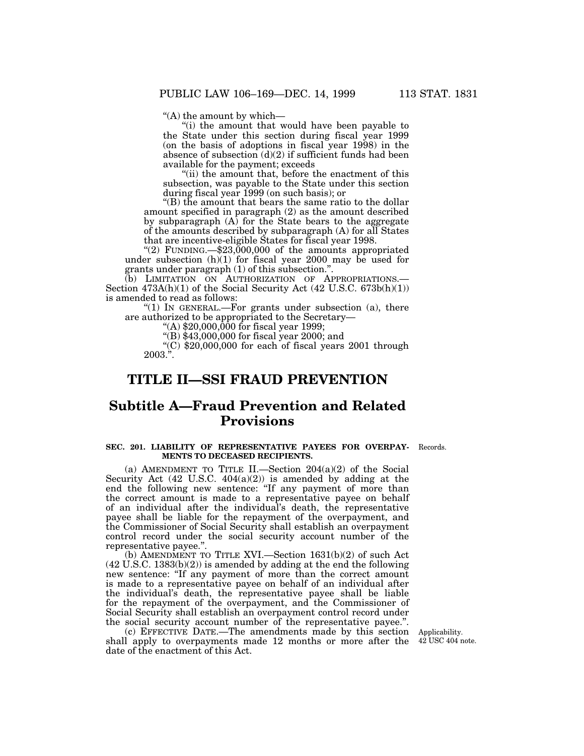''(A) the amount by which—

(i) the amount that would have been payable to the State under this section during fiscal year 1999 (on the basis of adoptions in fiscal year 1998) in the absence of subsection  $(d)(2)$  if sufficient funds had been available for the payment; exceeds

"(ii) the amount that, before the enactment of this subsection, was payable to the State under this section during fiscal year 1999 (on such basis); or

''(B) the amount that bears the same ratio to the dollar amount specified in paragraph (2) as the amount described by subparagraph (A) for the State bears to the aggregate of the amounts described by subparagraph (A) for all States that are incentive-eligible States for fiscal year 1998.

"(2) FUNDING.— $$23,000,000$  of the amounts appropriated under subsection (h)(1) for fiscal year 2000 may be used for grants under paragraph (1) of this subsection.''.

(b) LIMITATION ON AUTHORIZATION OF APPROPRIATIONS.— Section 473A(h)(1) of the Social Security Act (42 U.S.C. 673b(h)(1)) is amended to read as follows:

" $(1)$  In GENERAL.—For grants under subsection  $(a)$ , there are authorized to be appropriated to the Secretary—

"(A)  $$20,000,000$  for fiscal year 1999;

''(B) \$43,000,000 for fiscal year 2000; and

 $'(C)$  \$20,000,000 for each of fiscal years 2001 through 2003.''.

# **TITLE II—SSI FRAUD PREVENTION**

# **Subtitle A—Fraud Prevention and Related Provisions**

#### **SEC. 201. LIABILITY OF REPRESENTATIVE PAYEES FOR OVERPAY-** Records. **MENTS TO DECEASED RECIPIENTS.**

(a) AMENDMENT TO TITLE II.—Section 204(a)(2) of the Social Security Act  $(42 \text{ U.S.C. } 404(a)(2))$  is amended by adding at the end the following new sentence: "If any payment of more than the correct amount is made to a representative payee on behalf of an individual after the individual's death, the representative payee shall be liable for the repayment of the overpayment, and the Commissioner of Social Security shall establish an overpayment control record under the social security account number of the representative payee.''.

(b) AMENDMENT TO TITLE XVI.—Section 1631(b)(2) of such Act  $(42 \text{ U.S.C. } 1383(b)(2))$  is amended by adding at the end the following new sentence: "If any payment of more than the correct amount is made to a representative payee on behalf of an individual after the individual's death, the representative payee shall be liable for the repayment of the overpayment, and the Commissioner of Social Security shall establish an overpayment control record under the social security account number of the representative payee.''.

(c) EFFECTIVE DATE.—The amendments made by this section Applicability. shall apply to overpayments made 12 months or more after the 42 USC 404 note. date of the enactment of this Act.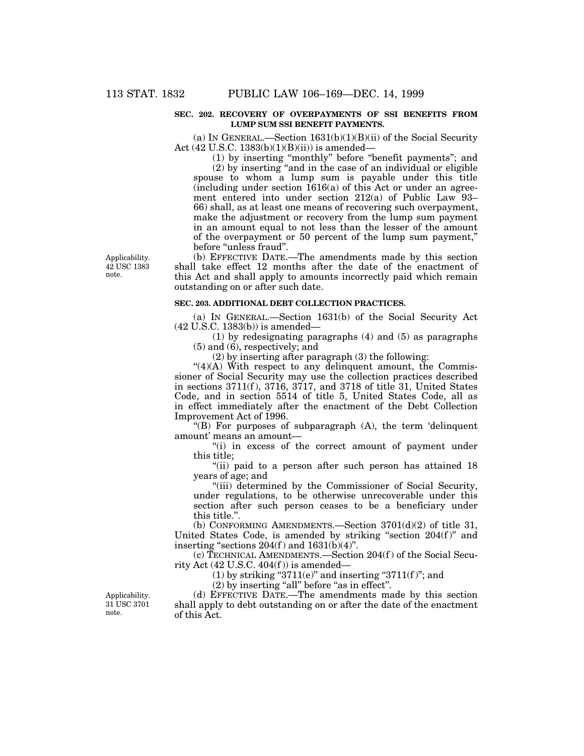# **SEC. 202. RECOVERY OF OVERPAYMENTS OF SSI BENEFITS FROM LUMP SUM SSI BENEFIT PAYMENTS.**

(a) IN GENERAL.—Section  $1631(b)(1)(B)(ii)$  of the Social Security Act  $(42 \text{ U.S.C. } 1383(b)(1)(B)(ii))$  is amended—

(1) by inserting ''monthly'' before ''benefit payments''; and

(2) by inserting ''and in the case of an individual or eligible spouse to whom a lump sum is payable under this title  $(including under section 1616(a) of this Act or under an agree$ ment entered into under section 212(a) of Public Law 93– 66) shall, as at least one means of recovering such overpayment, make the adjustment or recovery from the lump sum payment in an amount equal to not less than the lesser of the amount of the overpayment or 50 percent of the lump sum payment,'' before "unless fraud".

(b) EFFECTIVE DATE.—The amendments made by this section shall take effect 12 months after the date of the enactment of this Act and shall apply to amounts incorrectly paid which remain outstanding on or after such date.

### **SEC. 203. ADDITIONAL DEBT COLLECTION PRACTICES.**

(a) IN GENERAL.—Section 1631(b) of the Social Security Act (42 U.S.C. 1383(b)) is amended—

(1) by redesignating paragraphs (4) and (5) as paragraphs (5) and (6), respectively; and

(2) by inserting after paragraph (3) the following:

 $"(4)(A)$  With respect to any delinquent amount, the Commissioner of Social Security may use the collection practices described in sections  $3711(f)$ ,  $3716$ ,  $3717$ , and  $3718$  of title 31, United States Code, and in section 5514 of title 5, United States Code, all as in effect immediately after the enactment of the Debt Collection Improvement Act of 1996.

"(B) For purposes of subparagraph  $(A)$ , the term 'delinquent' amount' means an amount—

"(i) in excess of the correct amount of payment under this title;

"(ii) paid to a person after such person has attained 18 years of age; and

''(iii) determined by the Commissioner of Social Security, under regulations, to be otherwise unrecoverable under this section after such person ceases to be a beneficiary under this title.''.

(b) CONFORMING AMENDMENTS.—Section 3701(d)(2) of title 31, United States Code, is amended by striking "section  $204(f)$ " and inserting "sections  $204(f)$  and  $1631(b)(4)$ ".

(c) TECHNICAL AMENDMENTS.—Section 204(f ) of the Social Security Act  $(42 \text{ U.S.C. } 404(f))$  is amended—

(1) by striking "3711(e)" and inserting "3711(f)"; and

 $(2)$  by inserting "all" before "as in effect".

(d) EFFECTIVE DATE.—The amendments made by this section shall apply to debt outstanding on or after the date of the enactment of this Act.

Applicability. 42 USC 1383 note.

Applicability. 31 USC 3701 note.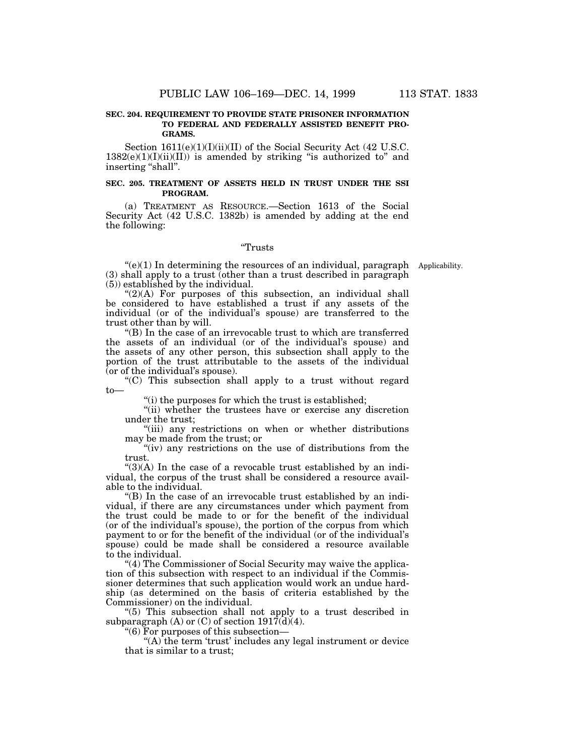# **SEC. 204. REQUIREMENT TO PROVIDE STATE PRISONER INFORMATION TO FEDERAL AND FEDERALLY ASSISTED BENEFIT PRO-GRAMS.**

Section 1611(e)(1)(I)(ii)(II) of the Social Security Act (42 U.S.C.  $1382(e)(1)(I)(ii)(II))$  is amended by striking "is authorized to" and inserting "shall".

### **SEC. 205. TREATMENT OF ASSETS HELD IN TRUST UNDER THE SSI PROGRAM.**

(a) TREATMENT AS RESOURCE.—Section 1613 of the Social Security Act (42 U.S.C. 1382b) is amended by adding at the end the following:

# ''Trusts

 $\text{``(e)}(1)$  In determining the resources of an individual, paragraph Applicability. (3) shall apply to a trust (other than a trust described in paragraph (5)) established by the individual.

" $(2)(A)$  For purposes of this subsection, an individual shall be considered to have established a trust if any assets of the individual (or of the individual's spouse) are transferred to the trust other than by will.

''(B) In the case of an irrevocable trust to which are transferred the assets of an individual (or of the individual's spouse) and the assets of any other person, this subsection shall apply to the portion of the trust attributable to the assets of the individual (or of the individual's spouse).

''(C) This subsection shall apply to a trust without regard to—

''(i) the purposes for which the trust is established;

"(ii) whether the trustees have or exercise any discretion under the trust;

"(iii) any restrictions on when or whether distributions may be made from the trust; or

"(iv) any restrictions on the use of distributions from the trust.

 $\mathcal{L}(3)(A)$  In the case of a revocable trust established by an individual, the corpus of the trust shall be considered a resource available to the individual.

''(B) In the case of an irrevocable trust established by an individual, if there are any circumstances under which payment from the trust could be made to or for the benefit of the individual (or of the individual's spouse), the portion of the corpus from which payment to or for the benefit of the individual (or of the individual's spouse) could be made shall be considered a resource available to the individual.

''(4) The Commissioner of Social Security may waive the application of this subsection with respect to an individual if the Commissioner determines that such application would work an undue hardship (as determined on the basis of criteria established by the Commissioner) on the individual.

''(5) This subsection shall not apply to a trust described in subparagraph (A) or (C) of section  $1917\overline{d}(d)(4)$ .

''(6) For purposes of this subsection—

" $(A)$  the term 'trust' includes any legal instrument or device that is similar to a trust;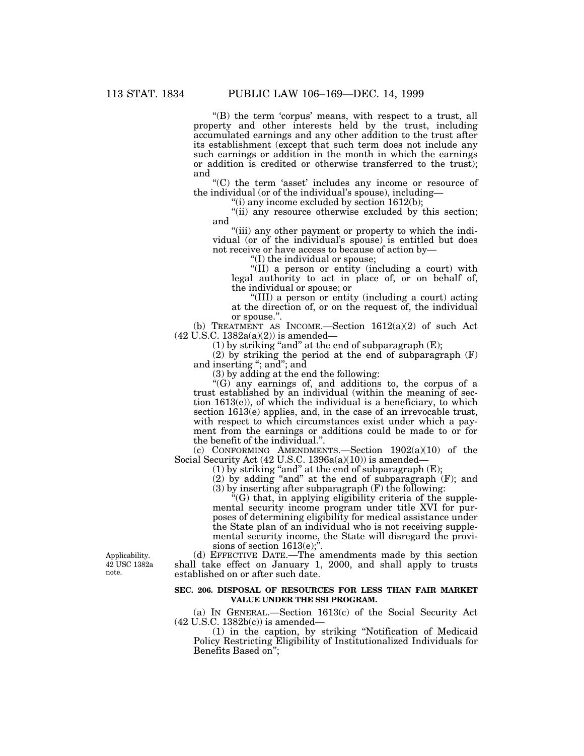''(B) the term 'corpus' means, with respect to a trust, all property and other interests held by the trust, including accumulated earnings and any other addition to the trust after its establishment (except that such term does not include any such earnings or addition in the month in which the earnings or addition is credited or otherwise transferred to the trust); and

"(C) the term 'asset' includes any income or resource of the individual (or of the individual's spouse), including—

"(i) any income excluded by section  $1612(b)$ ;

"(ii) any resource otherwise excluded by this section; and

"(iii) any other payment or property to which the individual (or of the individual's spouse) is entitled but does not receive or have access to because of action by—

''(I) the individual or spouse;

''(II) a person or entity (including a court) with legal authority to act in place of, or on behalf of, the individual or spouse; or

''(III) a person or entity (including a court) acting at the direction of, or on the request of, the individual or spouse.''.

(b) TREATMENT AS INCOME.—Section 1612(a)(2) of such Act  $(42 \text{ U.S.C. } 1382a(a)(2))$  is amended—

(1) by striking "and" at the end of subparagraph  $(E)$ ;

(2) by striking the period at the end of subparagraph (F) and inserting ''; and''; and

(3) by adding at the end the following:

''(G) any earnings of, and additions to, the corpus of a trust established by an individual (within the meaning of section 1613(e)), of which the individual is a beneficiary, to which section  $1613(e)$  applies, and, in the case of an irrevocable trust, with respect to which circumstances exist under which a payment from the earnings or additions could be made to or for the benefit of the individual.''.

(c) CONFORMING AMENDMENTS.—Section 1902(a)(10) of the Social Security Act (42 U.S.C. 1396a(a)(10)) is amended—

(1) by striking "and" at the end of subparagraph  $(E);$ 

(2) by adding ''and'' at the end of subparagraph (F); and (3) by inserting after subparagraph (F) the following:

''(G) that, in applying eligibility criteria of the supplemental security income program under title XVI for purposes of determining eligibility for medical assistance under the State plan of an individual who is not receiving supplemental security income, the State will disregard the provisions of section  $1613(e)$ ;".

Applicability. 42 USC 1382a note.

(d) EFFECTIVE DATE.—The amendments made by this section shall take effect on January 1, 2000, and shall apply to trusts established on or after such date.

# **SEC. 206. DISPOSAL OF RESOURCES FOR LESS THAN FAIR MARKET VALUE UNDER THE SSI PROGRAM.**

(a) IN GENERAL.—Section 1613(c) of the Social Security Act (42 U.S.C. 1382b(c)) is amended—

(1) in the caption, by striking ''Notification of Medicaid Policy Restricting Eligibility of Institutionalized Individuals for Benefits Based on'';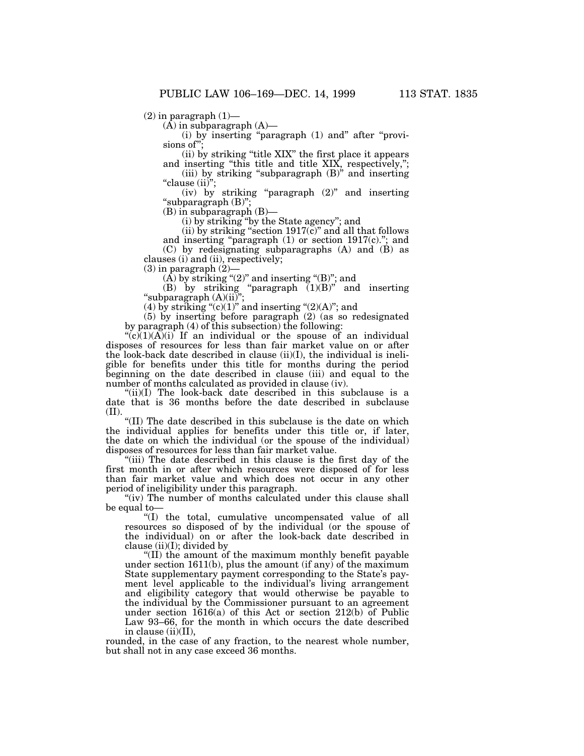$(2)$  in paragraph  $(1)$ —

 $(\overline{A})$  in subparagraph  $(A)$ —

(i) by inserting ''paragraph (1) and'' after ''provisions of";

(ii) by striking ''title XIX'' the first place it appears and inserting "this title and title XIX, respectively,";

(iii) by striking "subparagraph  $(B)$ " and inserting "clause (ii)";

(iv) by striking "paragraph  $(2)$ " and inserting ''subparagraph (B)'';

 $(B)$  in subparagraph  $(B)$ –

(i) by striking ''by the State agency''; and

(ii) by striking "section  $1917(c)$ " and all that follows and inserting "paragraph  $(1)$  or section 1917 $(c)$ ."; and (C) by redesignating subparagraphs (A) and (B) as

clauses (i) and (ii), respectively;  $(3)$  in paragraph  $(2)$ –

 $(A)$  by striking " $(2)$ " and inserting " $(B)$ "; and

(B) by striking "paragraph  $(1)(B)$ " and inserting "subparagraph $(A)(ii)$ 

supparagraph  $(A)(1)$ ;<br>(4) by striking "(c)(1)" and inserting "(2)(A)"; and

(5) by inserting before paragraph (2) (as so redesignated by paragraph (4) of this subsection) the following:

" $(c)(1)(A)(i)$  If an individual or the spouse of an individual disposes of resources for less than fair market value on or after the look-back date described in clause (ii)(I), the individual is ineligible for benefits under this title for months during the period beginning on the date described in clause (iii) and equal to the number of months calculated as provided in clause (iv).

" $(ii)(I)$  The look-back date described in this subclause is a date that is 36 months before the date described in subclause (II).

''(II) The date described in this subclause is the date on which the individual applies for benefits under this title or, if later, the date on which the individual (or the spouse of the individual) disposes of resources for less than fair market value.

''(iii) The date described in this clause is the first day of the first month in or after which resources were disposed of for less than fair market value and which does not occur in any other period of ineligibility under this paragraph.

"(iv) The number of months calculated under this clause shall be equal to—

''(I) the total, cumulative uncompensated value of all resources so disposed of by the individual (or the spouse of the individual) on or after the look-back date described in clause  $(ii)(I)$ ; divided by

''(II) the amount of the maximum monthly benefit payable under section 1611(b), plus the amount (if any) of the maximum State supplementary payment corresponding to the State's payment level applicable to the individual's living arrangement and eligibility category that would otherwise be payable to the individual by the Commissioner pursuant to an agreement under section 1616(a) of this Act or section 212(b) of Public Law 93–66, for the month in which occurs the date described in clause (ii)(II),

rounded, in the case of any fraction, to the nearest whole number, but shall not in any case exceed 36 months.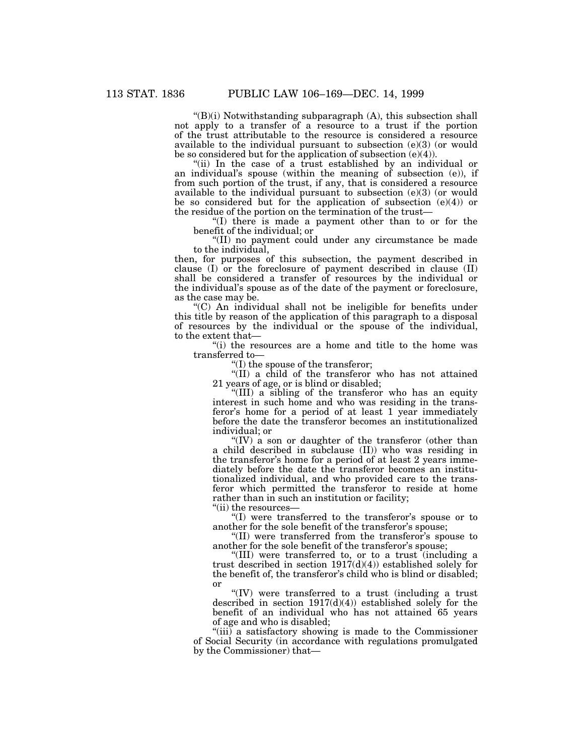$H(B)(i)$  Notwithstanding subparagraph  $(A)$ , this subsection shall not apply to a transfer of a resource to a trust if the portion of the trust attributable to the resource is considered a resource available to the individual pursuant to subsection (e)(3) (or would be so considered but for the application of subsection  $(e)(4)$ .

"(ii) In the case of a trust established by an individual or an individual's spouse (within the meaning of subsection (e)), if from such portion of the trust, if any, that is considered a resource available to the individual pursuant to subsection (e)(3) (or would be so considered but for the application of subsection (e)(4)) or the residue of the portion on the termination of the trust—

''(I) there is made a payment other than to or for the benefit of the individual; or

''(II) no payment could under any circumstance be made to the individual,

then, for purposes of this subsection, the payment described in clause (I) or the foreclosure of payment described in clause (II) shall be considered a transfer of resources by the individual or the individual's spouse as of the date of the payment or foreclosure, as the case may be.

''(C) An individual shall not be ineligible for benefits under this title by reason of the application of this paragraph to a disposal of resources by the individual or the spouse of the individual, to the extent that—

"(i) the resources are a home and title to the home was transferred to—

''(I) the spouse of the transferor;

''(II) a child of the transferor who has not attained 21 years of age, or is blind or disabled;

''(III) a sibling of the transferor who has an equity interest in such home and who was residing in the transferor's home for a period of at least 1 year immediately before the date the transferor becomes an institutionalized individual; or

"(IV) a son or daughter of the transferor (other than a child described in subclause (II)) who was residing in the transferor's home for a period of at least 2 years immediately before the date the transferor becomes an institutionalized individual, and who provided care to the transferor which permitted the transferor to reside at home rather than in such an institution or facility;

"(ii) the resources-

''(I) were transferred to the transferor's spouse or to another for the sole benefit of the transferor's spouse;

''(II) were transferred from the transferor's spouse to another for the sole benefit of the transferor's spouse;

''(III) were transferred to, or to a trust (including a trust described in section  $1917(d)(4)$  established solely for the benefit of, the transferor's child who is blind or disabled; or

 $''(IV)$  were transferred to a trust (including a trust described in section 1917(d)(4)) established solely for the benefit of an individual who has not attained 65 years of age and who is disabled;

''(iii) a satisfactory showing is made to the Commissioner of Social Security (in accordance with regulations promulgated by the Commissioner) that—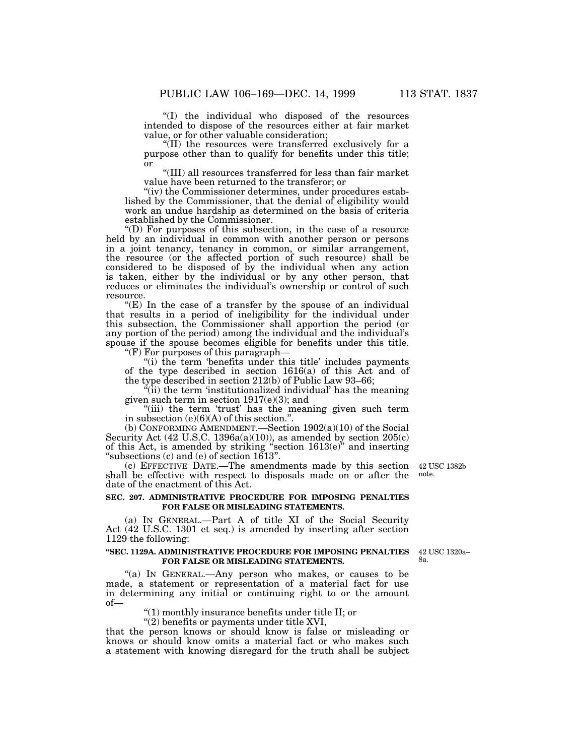''(I) the individual who disposed of the resources intended to dispose of the resources either at fair market value, or for other valuable consideration;

''(II) the resources were transferred exclusively for a purpose other than to qualify for benefits under this title; or

''(III) all resources transferred for less than fair market value have been returned to the transferor; or

"(iv) the Commissioner determines, under procedures established by the Commissioner, that the denial of eligibility would work an undue hardship as determined on the basis of criteria established by the Commissioner.

''(D) For purposes of this subsection, in the case of a resource held by an individual in common with another person or persons in a joint tenancy, tenancy in common, or similar arrangement, the resource (or the affected portion of such resource) shall be considered to be disposed of by the individual when any action is taken, either by the individual or by any other person, that reduces or eliminates the individual's ownership or control of such resource.

" $(E)$  In the case of a transfer by the spouse of an individual that results in a period of ineligibility for the individual under this subsection, the Commissioner shall apportion the period (or any portion of the period) among the individual and the individual's spouse if the spouse becomes eligible for benefits under this title.

''(F) For purposes of this paragraph—

(i) the term 'benefits under this title' includes payments of the type described in section 1616(a) of this Act and of the type described in section 212(b) of Public Law 93–66;

''(ii) the term 'institutionalized individual' has the meaning given such term in section 1917(e)(3); and

"(iii) the term 'trust' has the meaning given such term in subsection (e)(6)(A) of this section.''.

(b) CONFORMING AMENDMENT.—Section 1902(a)(10) of the Social Security Act (42 U.S.C. 1396a(a)(10)), as amended by section 205(c) of this Act, is amended by striking "section 1613(e)" and inserting ''subsections (c) and (e) of section 1613''.

(c) EFFECTIVE DATE.—The amendments made by this section 42 USC 1382b shall be effective with respect to disposals made on or after the date of the enactment of this Act. note.

### **SEC. 207. ADMINISTRATIVE PROCEDURE FOR IMPOSING PENALTIES FOR FALSE OR MISLEADING STATEMENTS.**

(a) IN GENERAL.—Part A of title XI of the Social Security Act (42 U.S.C. 1301 et seq.) is amended by inserting after section 1129 the following:

#### **''SEC. 1129A. ADMINISTRATIVE PROCEDURE FOR IMPOSING PENALTIES FOR FALSE OR MISLEADING STATEMENTS.**

42 USC 1320a– 8a.

"(a) IN GENERAL.—Any person who makes, or causes to be made, a statement or representation of a material fact for use in determining any initial or continuing right to or the amount of—

''(1) monthly insurance benefits under title II; or

''(2) benefits or payments under title XVI,

that the person knows or should know is false or misleading or knows or should know omits a material fact or who makes such a statement with knowing disregard for the truth shall be subject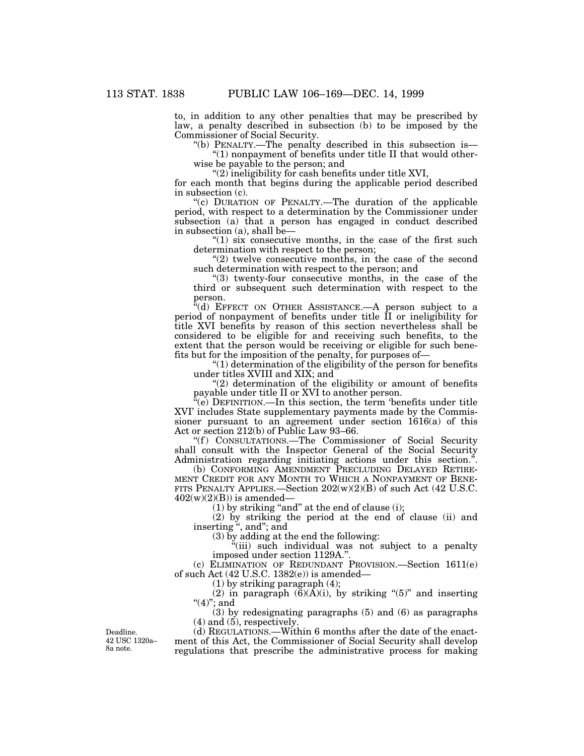to, in addition to any other penalties that may be prescribed by law, a penalty described in subsection (b) to be imposed by the Commissioner of Social Security.

''(b) PENALTY.—The penalty described in this subsection is— ''(1) nonpayment of benefits under title II that would other-

wise be payable to the person; and

''(2) ineligibility for cash benefits under title XVI,

for each month that begins during the applicable period described in subsection (c).

"(c) DURATION OF PENALTY.—The duration of the applicable period, with respect to a determination by the Commissioner under subsection (a) that a person has engaged in conduct described in subsection (a), shall be—

" $(1)$  six consecutive months, in the case of the first such determination with respect to the person;

 $"(2)$  twelve consecutive months, in the case of the second such determination with respect to the person; and

"(3) twenty-four consecutive months, in the case of the third or subsequent such determination with respect to the person.

 $\mathbf{F}^{\mathsf{r}}(\mathbf{d})$  EFFECT ON OTHER ASSISTANCE.—A person subject to a period of nonpayment of benefits under title II or ineligibility for title XVI benefits by reason of this section nevertheless shall be considered to be eligible for and receiving such benefits, to the extent that the person would be receiving or eligible for such benefits but for the imposition of the penalty, for purposes of—

 $''(1)$  determination of the eligibility of the person for benefits under titles XVIII and XIX; and

"(2) determination of the eligibility or amount of benefits payable under title II or XVI to another person.

 $E^*(e)$  DEFINITION.—In this section, the term 'benefits under title XVI' includes State supplementary payments made by the Commissioner pursuant to an agreement under section  $1616(a)$  of this Act or section 212(b) of Public Law 93–66.

"(f) CONSULTATIONS.—The Commissioner of Social Security shall consult with the Inspector General of the Social Security Administration regarding initiating actions under this section.''.

(b) CONFORMING AMENDMENT PRECLUDING DELAYED RETIRE-MENT CREDIT FOR ANY MONTH TO WHICH A NONPAYMENT OF BENE-FITS PENALTY APPLIES.—Section  $202(w)(2)(B)$  of such Act (42 U.S.C.  $402(w)(2)(B)$ ) is amended-

(1) by striking "and" at the end of clause (i);

(2) by striking the period at the end of clause (ii) and inserting '', and''; and

(3) by adding at the end the following:

''(iii) such individual was not subject to a penalty imposed under section 1129A.'

(c) ELIMINATION OF REDUNDANT PROVISION.—Section 1611(e) of such Act  $(42 \text{ U.S.C. } 1382(e))$  is amended—

 $(1)$  by striking paragraph  $(4)$ ;

(2) in paragraph  $(\mathbf{6})(\mathbf{A})(i)$ , by striking "(5)" and inserting "(4)"; and

(3) by redesignating paragraphs (5) and (6) as paragraphs (4) and (5), respectively.

(d) REGULATIONS.—Within 6 months after the date of the enactment of this Act, the Commissioner of Social Security shall develop regulations that prescribe the administrative process for making

Deadline. 42 USC 1320a– 8a note.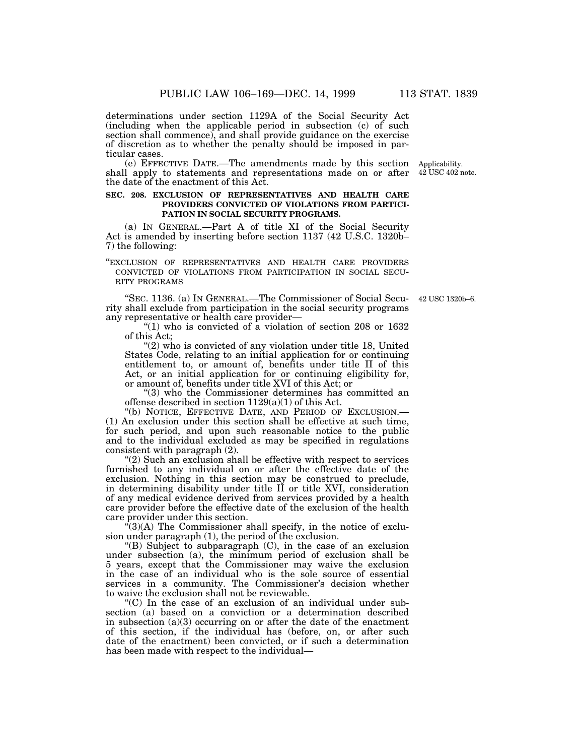determinations under section 1129A of the Social Security Act (including when the applicable period in subsection (c) of such section shall commence), and shall provide guidance on the exercise of discretion as to whether the penalty should be imposed in particular cases.

(e) EFFECTIVE DATE.—The amendments made by this section Applicability. shall apply to statements and representations made on or after 42 USC 402 note. the date of the enactment of this Act.

# **SEC. 208. EXCLUSION OF REPRESENTATIVES AND HEALTH CARE PROVIDERS CONVICTED OF VIOLATIONS FROM PARTICI-PATION IN SOCIAL SECURITY PROGRAMS.**

(a) IN GENERAL.—Part A of title XI of the Social Security Act is amended by inserting before section 1137 (42 U.S.C. 1320b– 7) the following:

''EXCLUSION OF REPRESENTATIVES AND HEALTH CARE PROVIDERS CONVICTED OF VIOLATIONS FROM PARTICIPATION IN SOCIAL SECU- RITY PROGRAMS

''SEC. 1136. (a) IN GENERAL.—The Commissioner of Social Security shall exclude from participation in the social security programs any representative or health care provider—

"(1) who is convicted of a violation of section 208 or  $1632$ of this Act;

"(2) who is convicted of any violation under title 18, United States Code, relating to an initial application for or continuing entitlement to, or amount of, benefits under title II of this Act, or an initial application for or continuing eligibility for, or amount of, benefits under title XVI of this Act; or

''(3) who the Commissioner determines has committed an offense described in section  $1129(a)(1)$  of this Act.

''(b) NOTICE, EFFECTIVE DATE, AND PERIOD OF EXCLUSION.— (1) An exclusion under this section shall be effective at such time, for such period, and upon such reasonable notice to the public and to the individual excluded as may be specified in regulations consistent with paragraph (2).

"(2) Such an exclusion shall be effective with respect to services furnished to any individual on or after the effective date of the exclusion. Nothing in this section may be construed to preclude, in determining disability under title II or title XVI, consideration of any medical evidence derived from services provided by a health care provider before the effective date of the exclusion of the health care provider under this section.

 $\mathcal{F}(3)(A)$  The Commissioner shall specify, in the notice of exclusion under paragraph (1), the period of the exclusion.

''(B) Subject to subparagraph (C), in the case of an exclusion under subsection (a), the minimum period of exclusion shall be 5 years, except that the Commissioner may waive the exclusion in the case of an individual who is the sole source of essential services in a community. The Commissioner's decision whether to waive the exclusion shall not be reviewable.

''(C) In the case of an exclusion of an individual under subsection (a) based on a conviction or a determination described in subsection  $(a)(3)$  occurring on or after the date of the enactment of this section, if the individual has (before, on, or after such date of the enactment) been convicted, or if such a determination has been made with respect to the individual—

42 USC 1320b–6.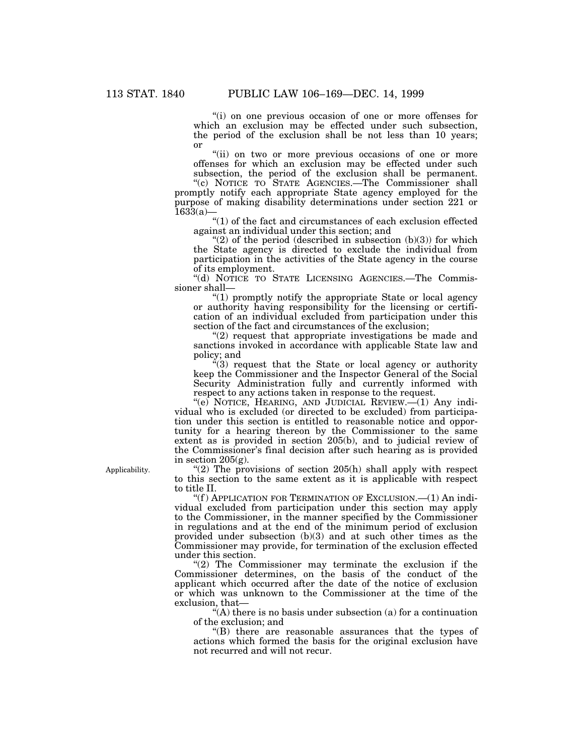''(i) on one previous occasion of one or more offenses for which an exclusion may be effected under such subsection, the period of the exclusion shall be not less than 10 years; or

"(ii) on two or more previous occasions of one or more offenses for which an exclusion may be effected under such subsection, the period of the exclusion shall be permanent.

"(c) NOTICE TO STATE AGENCIES.—The Commissioner shall promptly notify each appropriate State agency employed for the purpose of making disability determinations under section 221 or  $1633(a)$ —

''(1) of the fact and circumstances of each exclusion effected against an individual under this section; and

" $(2)$  of the period (described in subsection  $(b)(3)$ ) for which the State agency is directed to exclude the individual from participation in the activities of the State agency in the course of its employment.

''(d) NOTICE TO STATE LICENSING AGENCIES.—The Commissioner shall—

''(1) promptly notify the appropriate State or local agency or authority having responsibility for the licensing or certification of an individual excluded from participation under this section of the fact and circumstances of the exclusion;

"(2) request that appropriate investigations be made and sanctions invoked in accordance with applicable State law and policy; and

 $\mathcal{H}(3)$  request that the State or local agency or authority keep the Commissioner and the Inspector General of the Social Security Administration fully and currently informed with respect to any actions taken in response to the request.

''(e) NOTICE, HEARING, AND JUDICIAL REVIEW.—(1) Any individual who is excluded (or directed to be excluded) from participation under this section is entitled to reasonable notice and opportunity for a hearing thereon by the Commissioner to the same extent as is provided in section 205(b), and to judicial review of the Commissioner's final decision after such hearing as is provided in section  $205(g)$ .

" $(2)$  The provisions of section  $205(h)$  shall apply with respect to this section to the same extent as it is applicable with respect to title II.

'(f) APPLICATION FOR TERMINATION OF EXCLUSION.—(1) An individual excluded from participation under this section may apply to the Commissioner, in the manner specified by the Commissioner in regulations and at the end of the minimum period of exclusion provided under subsection (b)(3) and at such other times as the Commissioner may provide, for termination of the exclusion effected under this section.

"(2) The Commissioner may terminate the exclusion if the Commissioner determines, on the basis of the conduct of the applicant which occurred after the date of the notice of exclusion or which was unknown to the Commissioner at the time of the exclusion, that—

 $(A)$  there is no basis under subsection (a) for a continuation of the exclusion; and

''(B) there are reasonable assurances that the types of actions which formed the basis for the original exclusion have not recurred and will not recur.

Applicability.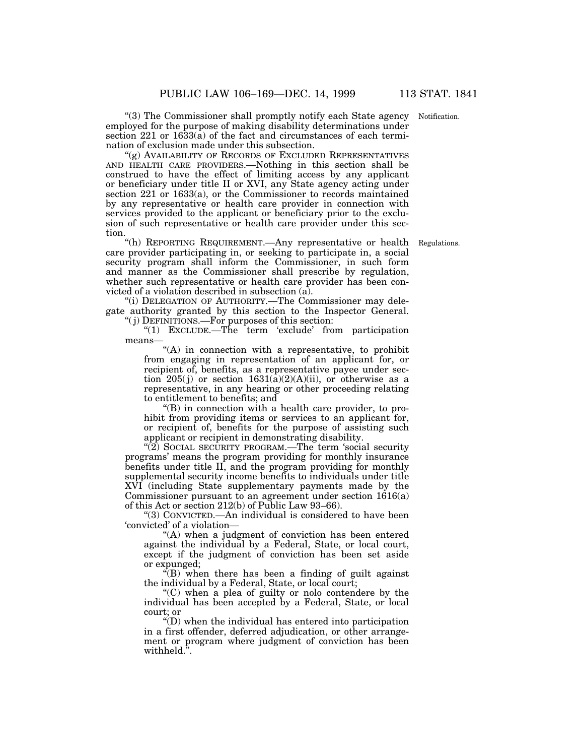Notification.

''(3) The Commissioner shall promptly notify each State agency employed for the purpose of making disability determinations under section 221 or  $16\overline{3}3(a)$  of the fact and circumstances of each termination of exclusion made under this subsection.

''(g) AVAILABILITY OF RECORDS OF EXCLUDED REPRESENTATIVES AND HEALTH CARE PROVIDERS.—Nothing in this section shall be construed to have the effect of limiting access by any applicant or beneficiary under title II or XVI, any State agency acting under section 221 or 1633(a), or the Commissioner to records maintained by any representative or health care provider in connection with services provided to the applicant or beneficiary prior to the exclusion of such representative or health care provider under this section.

Regulations.

''(h) REPORTING REQUIREMENT.—Any representative or health care provider participating in, or seeking to participate in, a social security program shall inform the Commissioner, in such form and manner as the Commissioner shall prescribe by regulation, whether such representative or health care provider has been convicted of a violation described in subsection (a).

"(i) DELEGATION OF AUTHORITY.-The Commissioner may delegate authority granted by this section to the Inspector General. ''( j) DEFINITIONS.—For purposes of this section:

"(1) EXCLUDE.—The term 'exclude' from participation means—

"(A) in connection with a representative, to prohibit from engaging in representation of an applicant for, or recipient of, benefits, as a representative payee under section  $205(j)$  or section  $1631(a)(2)(A)(ii)$ , or otherwise as a representative, in any hearing or other proceeding relating to entitlement to benefits; and

''(B) in connection with a health care provider, to prohibit from providing items or services to an applicant for, or recipient of, benefits for the purpose of assisting such applicant or recipient in demonstrating disability.

 $\sqrt{\hat{2}}$ ) SOCIAL SECURITY PROGRAM.—The term 'social security programs' means the program providing for monthly insurance benefits under title II, and the program providing for monthly supplemental security income benefits to individuals under title XVI (including State supplementary payments made by the Commissioner pursuant to an agreement under section 1616(a) of this Act or section 212(b) of Public Law 93–66).

''(3) CONVICTED.—An individual is considered to have been 'convicted' of a violation—

''(A) when a judgment of conviction has been entered against the individual by a Federal, State, or local court, except if the judgment of conviction has been set aside or expunged;

''(B) when there has been a finding of guilt against the individual by a Federal, State, or local court;

''(C) when a plea of guilty or nolo contendere by the individual has been accepted by a Federal, State, or local court; or

''(D) when the individual has entered into participation in a first offender, deferred adjudication, or other arrangement or program where judgment of conviction has been withheld.''.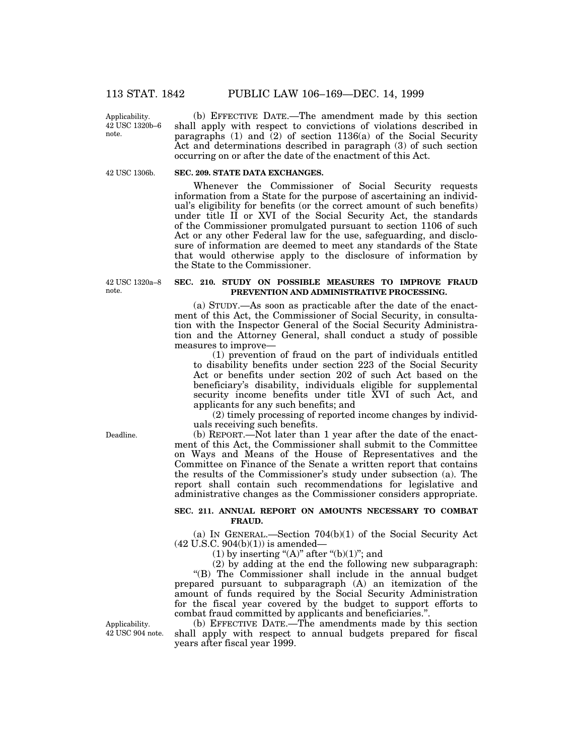Applicability. 42 USC 1320b–6 note.

42 USC 1306b.

(b) EFFECTIVE DATE.—The amendment made by this section shall apply with respect to convictions of violations described in paragraphs (1) and  $(2)$  of section 1136(a) of the Social Security Act and determinations described in paragraph (3) of such section occurring on or after the date of the enactment of this Act.

### **SEC. 209. STATE DATA EXCHANGES.**

Whenever the Commissioner of Social Security requests information from a State for the purpose of ascertaining an individual's eligibility for benefits (or the correct amount of such benefits) under title II or XVI of the Social Security Act, the standards of the Commissioner promulgated pursuant to section 1106 of such Act or any other Federal law for the use, safeguarding, and disclosure of information are deemed to meet any standards of the State that would otherwise apply to the disclosure of information by the State to the Commissioner.

42 USC 1320a–8 note.

# **SEC. 210. STUDY ON POSSIBLE MEASURES TO IMPROVE FRAUD PREVENTION AND ADMINISTRATIVE PROCESSING.**

(a) STUDY.—As soon as practicable after the date of the enactment of this Act, the Commissioner of Social Security, in consultation with the Inspector General of the Social Security Administration and the Attorney General, shall conduct a study of possible measures to improve—

(1) prevention of fraud on the part of individuals entitled to disability benefits under section 223 of the Social Security Act or benefits under section 202 of such Act based on the beneficiary's disability, individuals eligible for supplemental security income benefits under title XVI of such Act, and applicants for any such benefits; and

(2) timely processing of reported income changes by individuals receiving such benefits.

(b) REPORT.—Not later than 1 year after the date of the enactment of this Act, the Commissioner shall submit to the Committee on Ways and Means of the House of Representatives and the Committee on Finance of the Senate a written report that contains the results of the Commissioner's study under subsection (a). The report shall contain such recommendations for legislative and administrative changes as the Commissioner considers appropriate.

#### **SEC. 211. ANNUAL REPORT ON AMOUNTS NECESSARY TO COMBAT FRAUD.**

(a) IN GENERAL.—Section 704(b)(1) of the Social Security Act (42 U.S.C. 904(b)(1)) is amended—

(1) by inserting "(A)" after "(b)(1)"; and

(2) by adding at the end the following new subparagraph: ''(B) The Commissioner shall include in the annual budget prepared pursuant to subparagraph (A) an itemization of the amount of funds required by the Social Security Administration for the fiscal year covered by the budget to support efforts to combat fraud committed by applicants and beneficiaries."

(b) EFFECTIVE DATE.—The amendments made by this section shall apply with respect to annual budgets prepared for fiscal years after fiscal year 1999.

Deadline.

Applicability. 42 USC 904 note.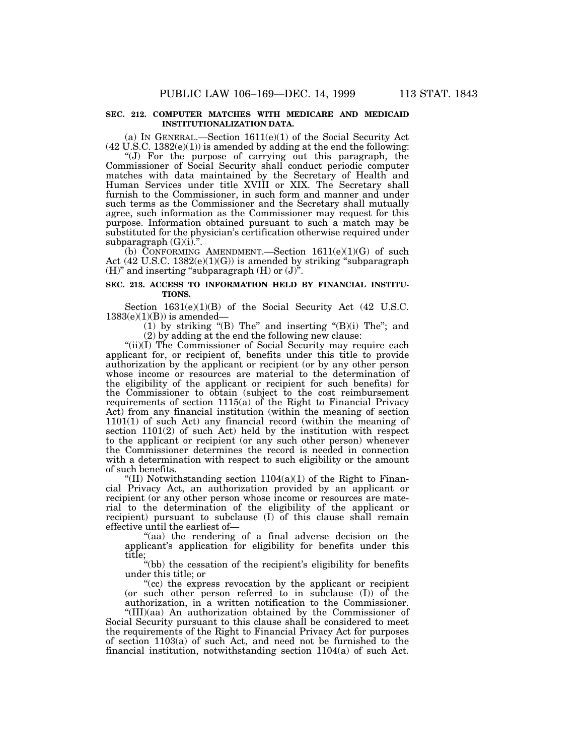### **SEC. 212. COMPUTER MATCHES WITH MEDICARE AND MEDICAID INSTITUTIONALIZATION DATA.**

(a) IN GENERAL.—Section 1611(e)(1) of the Social Security Act  $(42 \text{ U.S.C. } 1382(e)(1))$  is amended by adding at the end the following:

''(J) For the purpose of carrying out this paragraph, the Commissioner of Social Security shall conduct periodic computer matches with data maintained by the Secretary of Health and Human Services under title XVIII or XIX. The Secretary shall furnish to the Commissioner, in such form and manner and under such terms as the Commissioner and the Secretary shall mutually agree, such information as the Commissioner may request for this purpose. Information obtained pursuant to such a match may be substituted for the physician's certification otherwise required under subparagraph (G)(i).".

(b) CONFORMING AMENDMENT. Section  $1611(e)(1)(G)$  of such Act  $(42 \text{ U.S.C. } 1382(e)(1)(G))$  is amended by striking "subparagraph" (H)" and inserting "subparagraph (H) or (J)".

# **SEC. 213. ACCESS TO INFORMATION HELD BY FINANCIAL INSTITU-TIONS.**

Section  $1631(e)(1)(B)$  of the Social Security Act (42 U.S.C.  $1383(e)(1)(B)$  is amended-

(1) by striking " $(B)$  The" and inserting " $(B)(i)$  The"; and (2) by adding at the end the following new clause:

"(ii)(I) The Commissioner of Social Security may require each applicant for, or recipient of, benefits under this title to provide authorization by the applicant or recipient (or by any other person whose income or resources are material to the determination of the eligibility of the applicant or recipient for such benefits) for the Commissioner to obtain (subject to the cost reimbursement requirements of section 1115(a) of the Right to Financial Privacy Act) from any financial institution (within the meaning of section 1101(1) of such Act) any financial record (within the meaning of section 1101(2) of such Act) held by the institution with respect to the applicant or recipient (or any such other person) whenever the Commissioner determines the record is needed in connection with a determination with respect to such eligibility or the amount of such benefits.

 $^{\circ}$ (II) Notwithstanding section 1104(a)(1) of the Right to Financial Privacy Act, an authorization provided by an applicant or recipient (or any other person whose income or resources are material to the determination of the eligibility of the applicant or recipient) pursuant to subclause (I) of this clause shall remain effective until the earliest of—

"(aa) the rendering of a final adverse decision on the applicant's application for eligibility for benefits under this title;

"(bb) the cessation of the recipient's eligibility for benefits under this title; or

"(cc) the express revocation by the applicant or recipient (or such other person referred to in subclause (I)) of the authorization, in a written notification to the Commissioner.

''(III)(aa) An authorization obtained by the Commissioner of Social Security pursuant to this clause shall be considered to meet the requirements of the Right to Financial Privacy Act for purposes of section 1103(a) of such Act, and need not be furnished to the financial institution, notwithstanding section 1104(a) of such Act.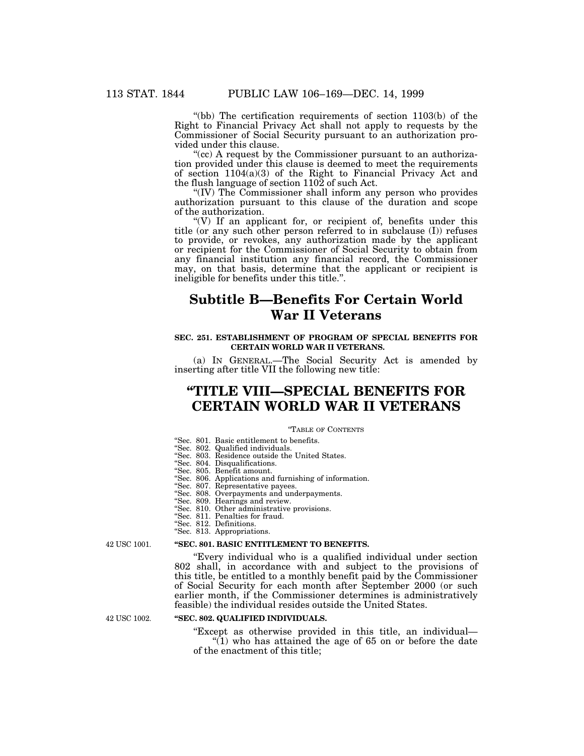"(bb) The certification requirements of section  $1103(b)$  of the Right to Financial Privacy Act shall not apply to requests by the Commissioner of Social Security pursuant to an authorization provided under this clause.

 $C$ <sup>\*</sup>(cc) A request by the Commissioner pursuant to an authorization provided under this clause is deemed to meet the requirements of section 1104(a)(3) of the Right to Financial Privacy Act and the flush language of section  $110\overline{2}$  of such Act.

"(IV) The Commissioner shall inform any person who provides authorization pursuant to this clause of the duration and scope of the authorization.

 $\mathcal{H}(V)$  If an applicant for, or recipient of, benefits under this title (or any such other person referred to in subclause (I)) refuses to provide, or revokes, any authorization made by the applicant or recipient for the Commissioner of Social Security to obtain from any financial institution any financial record, the Commissioner may, on that basis, determine that the applicant or recipient is ineligible for benefits under this title.''.

# **Subtitle B—Benefits For Certain World War II Veterans**

### **SEC. 251. ESTABLISHMENT OF PROGRAM OF SPECIAL BENEFITS FOR CERTAIN WORLD WAR II VETERANS.**

(a) IN GENERAL.—The Social Security Act is amended by inserting after title VII the following new title:

# **''TITLE VIII—SPECIAL BENEFITS FOR CERTAIN WORLD WAR II VETERANS**

# ''TABLE OF CONTENTS

- ''Sec. 801. Basic entitlement to benefits.
- ''Sec. 802. Qualified individuals. ''Sec. 803. Residence outside the United States.
- 
- ''Sec. 804. Disqualifications. ''Sec. 805. Benefit amount.
- ''Sec. 806. Applications and furnishing of information. ''Sec. 807. Representative payees.
- 
- ''Sec. 808. Overpayments and underpayments. ''Sec. 809. Hearings and review.
- ''Sec. 810. Other administrative provisions.
- ''Sec. 811. Penalties for fraud.
- ''Sec. 812. Definitions.
- ''Sec. 813. Appropriations.

#### **''SEC. 801. BASIC ENTITLEMENT TO BENEFITS.**

''Every individual who is a qualified individual under section 802 shall, in accordance with and subject to the provisions of this title, be entitled to a monthly benefit paid by the Commissioner of Social Security for each month after September 2000 (or such earlier month, if the Commissioner determines is administratively feasible) the individual resides outside the United States.

42 USC 1002.

42 USC 1001.

#### **''SEC. 802. QUALIFIED INDIVIDUALS.**

''Except as otherwise provided in this title, an individual—  $\hat{I}$ ) who has attained the age of 65 on or before the date

of the enactment of this title;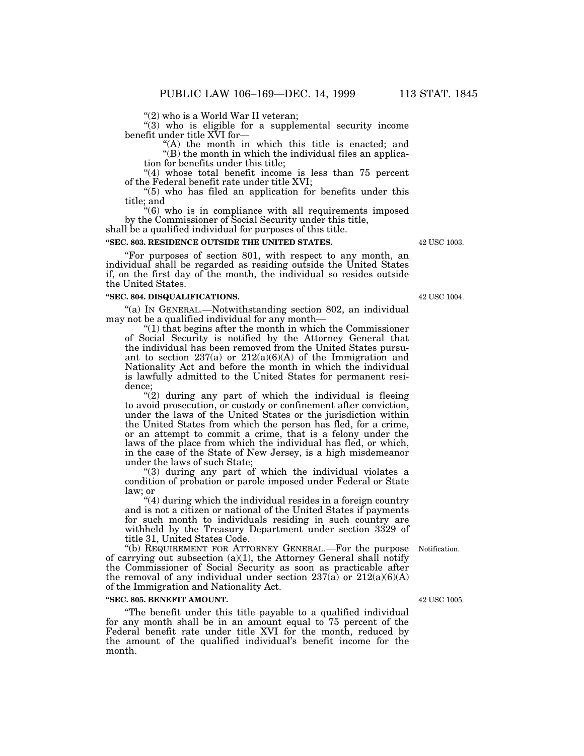''(2) who is a World War II veteran;

 $'(3)$  who is eligible for a supplemental security income benefit under title XVI for—

"(A) the month in which this title is enacted; and

 $\mathcal{L}(B)$  the month in which the individual files an application for benefits under this title;

" $(4)$  whose total benefit income is less than 75 percent of the Federal benefit rate under title XVI;

''(5) who has filed an application for benefits under this title; and

''(6) who is in compliance with all requirements imposed by the Commissioner of Social Security under this title,

shall be a qualified individual for purposes of this title.

# **''SEC. 803. RESIDENCE OUTSIDE THE UNITED STATES.**

''For purposes of section 801, with respect to any month, an individual shall be regarded as residing outside the United States if, on the first day of the month, the individual so resides outside the United States.

# **''SEC. 804. DISQUALIFICATIONS.**

"(a) IN GENERAL.—Notwithstanding section 802, an individual may not be a qualified individual for any month—

''(1) that begins after the month in which the Commissioner of Social Security is notified by the Attorney General that the individual has been removed from the United States pursuant to section  $237(a)$  or  $212(a)(6)(A)$  of the Immigration and Nationality Act and before the month in which the individual is lawfully admitted to the United States for permanent residence;

 $''(2)$  during any part of which the individual is fleeing to avoid prosecution, or custody or confinement after conviction, under the laws of the United States or the jurisdiction within the United States from which the person has fled, for a crime, or an attempt to commit a crime, that is a felony under the laws of the place from which the individual has fled, or which, in the case of the State of New Jersey, is a high misdemeanor under the laws of such State;

"(3) during any part of which the individual violates a condition of probation or parole imposed under Federal or State law; or

''(4) during which the individual resides in a foreign country and is not a citizen or national of the United States if payments for such month to individuals residing in such country are withheld by the Treasury Department under section 3329 of title 31, United States Code.

''(b) REQUIREMENT FOR ATTORNEY GENERAL.—For the purpose Notification. of carrying out subsection  $(a)(1)$ , the Attorney General shall notify the Commissioner of Social Security as soon as practicable after the removal of any individual under section  $237(a)$  or  $212(a)(6)(A)$ of the Immigration and Nationality Act.

# **''SEC. 805. BENEFIT AMOUNT.**

''The benefit under this title payable to a qualified individual for any month shall be in an amount equal to 75 percent of the Federal benefit rate under title XVI for the month, reduced by the amount of the qualified individual's benefit income for the month.

42 USC 1005.

42 USC 1004.

42 USC 1003.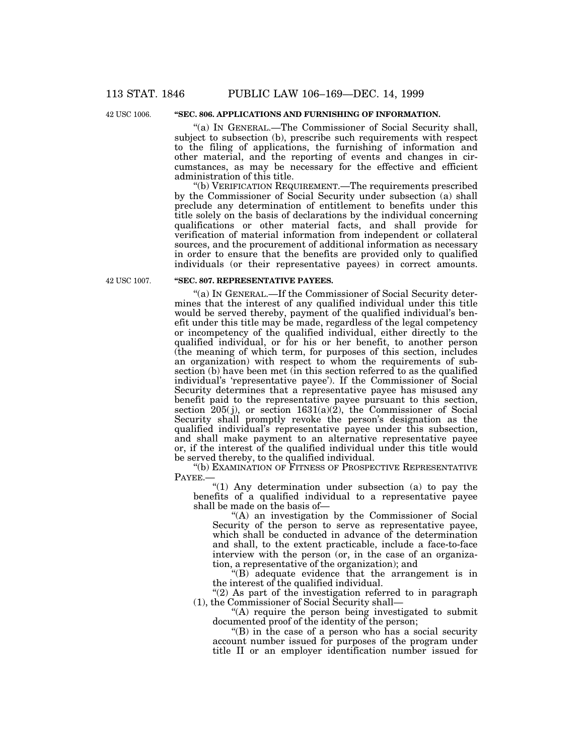42 USC 1006.

# **''SEC. 806. APPLICATIONS AND FURNISHING OF INFORMATION.**

''(a) IN GENERAL.—The Commissioner of Social Security shall, subject to subsection (b), prescribe such requirements with respect to the filing of applications, the furnishing of information and other material, and the reporting of events and changes in circumstances, as may be necessary for the effective and efficient administration of this title.

''(b) VERIFICATION REQUIREMENT.—The requirements prescribed by the Commissioner of Social Security under subsection (a) shall preclude any determination of entitlement to benefits under this title solely on the basis of declarations by the individual concerning qualifications or other material facts, and shall provide for verification of material information from independent or collateral sources, and the procurement of additional information as necessary in order to ensure that the benefits are provided only to qualified individuals (or their representative payees) in correct amounts.

42 USC 1007.

# **''SEC. 807. REPRESENTATIVE PAYEES.**

''(a) IN GENERAL.—If the Commissioner of Social Security determines that the interest of any qualified individual under this title would be served thereby, payment of the qualified individual's benefit under this title may be made, regardless of the legal competency or incompetency of the qualified individual, either directly to the qualified individual, or for his or her benefit, to another person (the meaning of which term, for purposes of this section, includes an organization) with respect to whom the requirements of subsection (b) have been met (in this section referred to as the qualified individual's 'representative payee'). If the Commissioner of Social Security determines that a representative payee has misused any benefit paid to the representative payee pursuant to this section, section  $205(j)$ , or section  $1631(a)(2)$ , the Commissioner of Social Security shall promptly revoke the person's designation as the qualified individual's representative payee under this subsection, and shall make payment to an alternative representative payee or, if the interest of the qualified individual under this title would be served thereby, to the qualified individual.

''(b) EXAMINATION OF FITNESS OF PROSPECTIVE REPRESENTATIVE PAYEE.

" $(1)$  Any determination under subsection  $(a)$  to pay the benefits of a qualified individual to a representative payee shall be made on the basis of—

''(A) an investigation by the Commissioner of Social Security of the person to serve as representative payee, which shall be conducted in advance of the determination and shall, to the extent practicable, include a face-to-face interview with the person (or, in the case of an organization, a representative of the organization); and

''(B) adequate evidence that the arrangement is in the interest of the qualified individual.

"(2) As part of the investigation referred to in paragraph (1), the Commissioner of Social Security shall—

"(A) require the person being investigated to submit documented proof of the identity of the person;

" $(B)$  in the case of a person who has a social security account number issued for purposes of the program under title II or an employer identification number issued for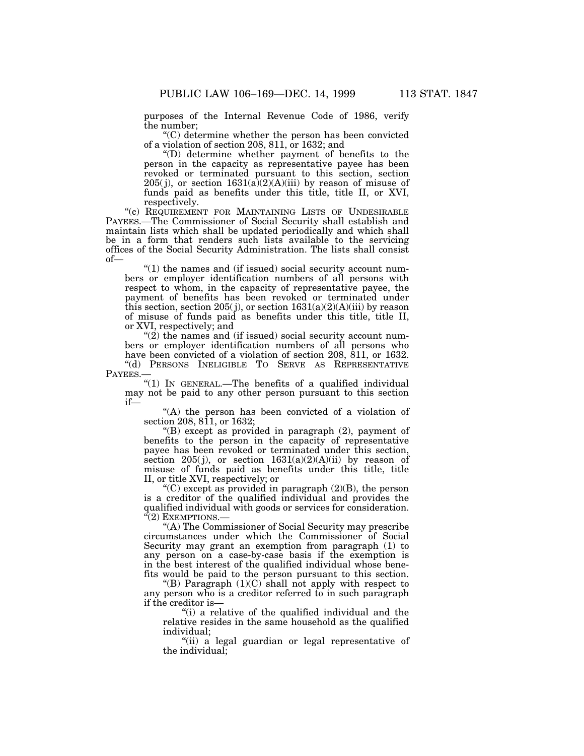purposes of the Internal Revenue Code of 1986, verify the number;

''(C) determine whether the person has been convicted of a violation of section 208, 811, or 1632; and

''(D) determine whether payment of benefits to the person in the capacity as representative payee has been revoked or terminated pursuant to this section, section  $205(j)$ , or section  $1631(a)(2)(A)(iii)$  by reason of misuse of funds paid as benefits under this title, title II, or XVI, respectively.

"(c) REQUIREMENT FOR MAINTAINING LISTS OF UNDESIRABLE PAYEES.—The Commissioner of Social Security shall establish and maintain lists which shall be updated periodically and which shall be in a form that renders such lists available to the servicing offices of the Social Security Administration. The lists shall consist of—

 $\degree$ (1) the names and (if issued) social security account numbers or employer identification numbers of all persons with respect to whom, in the capacity of representative payee, the payment of benefits has been revoked or terminated under this section, section 205(*j*), or section  $1631(a)(2)(A)(iii)$  by reason of misuse of funds paid as benefits under this title, title II, or XVI, respectively; and

 $(2)$  the names and (if issued) social security account numbers or employer identification numbers of all persons who have been convicted of a violation of section 208, 811, or 1632. ''(d) PERSONS INELIGIBLE TO SERVE AS REPRESENTATIVE PAYEES.—

 $\sqrt[n]{(1)}$  In GENERAL.—The benefits of a qualified individual may not be paid to any other person pursuant to this section if—

"(A) the person has been convicted of a violation of section 208, 811, or 1632;

''(B) except as provided in paragraph (2), payment of benefits to the person in the capacity of representative payee has been revoked or terminated under this section, section 205(j), or section  $1631(a)(2)(A)(ii)$  by reason of misuse of funds paid as benefits under this title, title II, or title XVI, respectively; or

''(C) except as provided in paragraph (2)(B), the person is a creditor of the qualified individual and provides the qualified individual with goods or services for consideration.  $\sqrt[G(2)]$  EXEMPTIONS.-

''(A) The Commissioner of Social Security may prescribe circumstances under which the Commissioner of Social Security may grant an exemption from paragraph (1) to any person on a case-by-case basis if the exemption is in the best interest of the qualified individual whose benefits would be paid to the person pursuant to this section.

"(B) Paragraph  $(1)(C)$  shall not apply with respect to any person who is a creditor referred to in such paragraph if the creditor is—

"(i) a relative of the qualified individual and the relative resides in the same household as the qualified individual;

"(ii) a legal guardian or legal representative of the individual;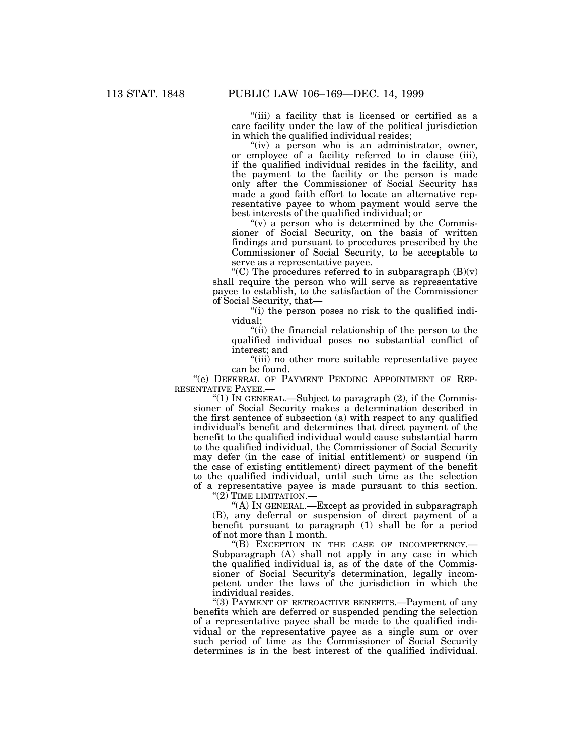"(iii) a facility that is licensed or certified as a care facility under the law of the political jurisdiction in which the qualified individual resides;

"(iv) a person who is an administrator, owner, or employee of a facility referred to in clause (iii), if the qualified individual resides in the facility, and the payment to the facility or the person is made only after the Commissioner of Social Security has made a good faith effort to locate an alternative representative payee to whom payment would serve the best interests of the qualified individual; or

" $(v)$  a person who is determined by the Commissioner of Social Security, on the basis of written findings and pursuant to procedures prescribed by the Commissioner of Social Security, to be acceptable to serve as a representative payee.

"(C) The procedures referred to in subparagraph  $(B)(v)$ shall require the person who will serve as representative payee to establish, to the satisfaction of the Commissioner of Social Security, that—

"(i) the person poses no risk to the qualified individual;

"(ii) the financial relationship of the person to the qualified individual poses no substantial conflict of interest; and

''(iii) no other more suitable representative payee can be found.

"(e) DEFERRAL OF PAYMENT PENDING APPOINTMENT OF REP-RESENTATIVE PAYEE.—

" $(1)$  In GENERAL.—Subject to paragraph  $(2)$ , if the Commissioner of Social Security makes a determination described in the first sentence of subsection (a) with respect to any qualified individual's benefit and determines that direct payment of the benefit to the qualified individual would cause substantial harm to the qualified individual, the Commissioner of Social Security may defer (in the case of initial entitlement) or suspend (in the case of existing entitlement) direct payment of the benefit to the qualified individual, until such time as the selection of a representative payee is made pursuant to this section.

''(2) TIME LIMITATION.—

"(A) IN GENERAL.—Except as provided in subparagraph (B), any deferral or suspension of direct payment of a benefit pursuant to paragraph (1) shall be for a period of not more than 1 month.

''(B) EXCEPTION IN THE CASE OF INCOMPETENCY.— Subparagraph (A) shall not apply in any case in which the qualified individual is, as of the date of the Commissioner of Social Security's determination, legally incompetent under the laws of the jurisdiction in which the individual resides.

"(3) PAYMENT OF RETROACTIVE BENEFITS.—Payment of any benefits which are deferred or suspended pending the selection of a representative payee shall be made to the qualified individual or the representative payee as a single sum or over such period of time as the Commissioner of Social Security determines is in the best interest of the qualified individual.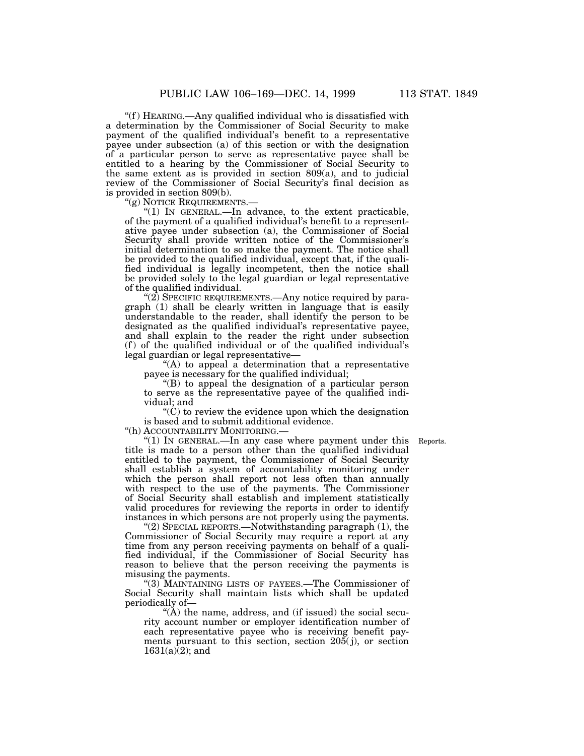''(f ) HEARING.—Any qualified individual who is dissatisfied with a determination by the Commissioner of Social Security to make payment of the qualified individual's benefit to a representative payee under subsection (a) of this section or with the designation of a particular person to serve as representative payee shall be entitled to a hearing by the Commissioner of Social Security to the same extent as is provided in section 809(a), and to judicial review of the Commissioner of Social Security's final decision as is provided in section 809(b).

''(g) NOTICE REQUIREMENTS.—

" $(1)$  In GENERAL.—In advance, to the extent practicable, of the payment of a qualified individual's benefit to a representative payee under subsection (a), the Commissioner of Social Security shall provide written notice of the Commissioner's initial determination to so make the payment. The notice shall be provided to the qualified individual, except that, if the qualified individual is legally incompetent, then the notice shall be provided solely to the legal guardian or legal representative of the qualified individual.

"(2) SPECIFIC REQUIREMENTS.—Any notice required by paragraph (1) shall be clearly written in language that is easily understandable to the reader, shall identify the person to be designated as the qualified individual's representative payee, and shall explain to the reader the right under subsection  $(f)$  of the qualified individual or of the qualified individual's legal guardian or legal representative—

 $(A)$  to appeal a determination that a representative payee is necessary for the qualified individual;

''(B) to appeal the designation of a particular person to serve as the representative payee of the qualified individual; and

 $C^{\prime\prime}(C)$  to review the evidence upon which the designation is based and to submit additional evidence.

''(h) ACCOUNTABILITY MONITORING.—

Reports.

"(1) In GENERAL.—In any case where payment under this title is made to a person other than the qualified individual entitled to the payment, the Commissioner of Social Security shall establish a system of accountability monitoring under which the person shall report not less often than annually with respect to the use of the payments. The Commissioner of Social Security shall establish and implement statistically valid procedures for reviewing the reports in order to identify instances in which persons are not properly using the payments.

"(2) SPECIAL REPORTS.—Notwithstanding paragraph  $(1)$ , the Commissioner of Social Security may require a report at any time from any person receiving payments on behalf of a qualified individual, if the Commissioner of Social Security has reason to believe that the person receiving the payments is misusing the payments.

''(3) MAINTAINING LISTS OF PAYEES.—The Commissioner of Social Security shall maintain lists which shall be updated periodically of—

 $(A)$  the name, address, and (if issued) the social security account number or employer identification number of each representative payee who is receiving benefit payments pursuant to this section, section  $205(j)$ , or section  $1631(a)(2)$ ; and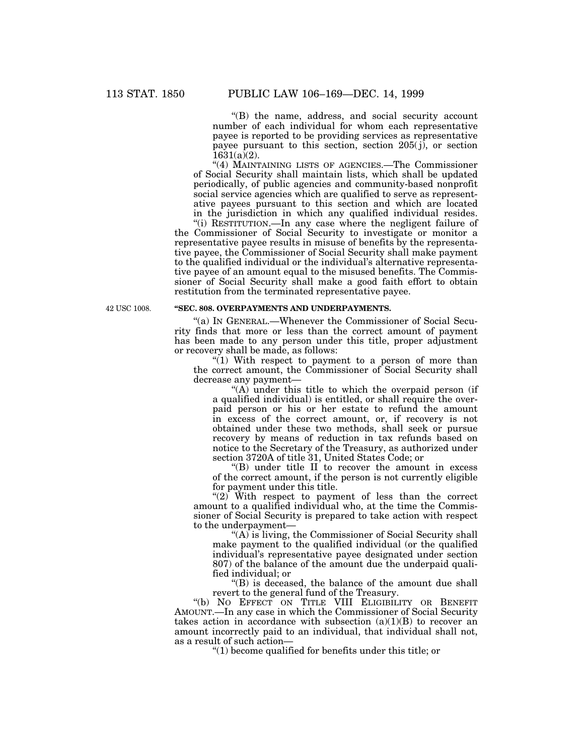''(B) the name, address, and social security account number of each individual for whom each representative payee is reported to be providing services as representative payee pursuant to this section, section  $205(j)$ , or section  $1631(a)(2)$ .

''(4) MAINTAINING LISTS OF AGENCIES.—The Commissioner of Social Security shall maintain lists, which shall be updated periodically, of public agencies and community-based nonprofit social service agencies which are qualified to serve as representative payees pursuant to this section and which are located in the jurisdiction in which any qualified individual resides.

"(i) RESTITUTION.—In any case where the negligent failure of the Commissioner of Social Security to investigate or monitor a representative payee results in misuse of benefits by the representative payee, the Commissioner of Social Security shall make payment to the qualified individual or the individual's alternative representative payee of an amount equal to the misused benefits. The Commissioner of Social Security shall make a good faith effort to obtain restitution from the terminated representative payee.

42 USC 1008.

#### **''SEC. 808. OVERPAYMENTS AND UNDERPAYMENTS.**

''(a) IN GENERAL.—Whenever the Commissioner of Social Security finds that more or less than the correct amount of payment has been made to any person under this title, proper adjustment or recovery shall be made, as follows:

"(1) With respect to payment to a person of more than the correct amount, the Commissioner of Social Security shall decrease any payment—

"(A) under this title to which the overpaid person (if a qualified individual) is entitled, or shall require the overpaid person or his or her estate to refund the amount in excess of the correct amount, or, if recovery is not obtained under these two methods, shall seek or pursue recovery by means of reduction in tax refunds based on notice to the Secretary of the Treasury, as authorized under section 3720A of title 31, United States Code; or

''(B) under title II to recover the amount in excess of the correct amount, if the person is not currently eligible for payment under this title.

" $(2)$  With respect to payment of less than the correct amount to a qualified individual who, at the time the Commissioner of Social Security is prepared to take action with respect to the underpayment—

"(A) is living, the Commissioner of Social Security shall make payment to the qualified individual (or the qualified individual's representative payee designated under section 807) of the balance of the amount due the underpaid qualified individual; or

''(B) is deceased, the balance of the amount due shall revert to the general fund of the Treasury.

''(b) NO EFFECT ON TITLE VIII ELIGIBILITY OR BENEFIT AMOUNT.—In any case in which the Commissioner of Social Security takes action in accordance with subsection  $(a)(1)(B)$  to recover an amount incorrectly paid to an individual, that individual shall not, as a result of such action—

''(1) become qualified for benefits under this title; or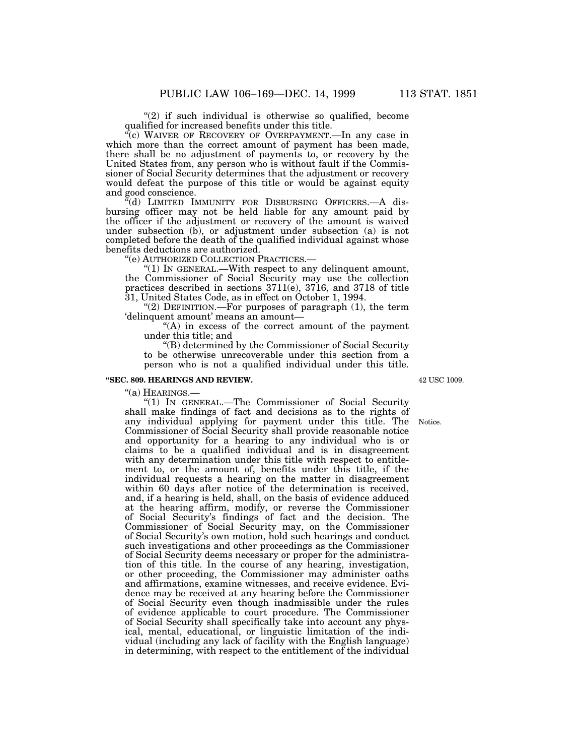"(2) if such individual is otherwise so qualified, become qualified for increased benefits under this title.

''(c) WAIVER OF RECOVERY OF OVERPAYMENT.—In any case in which more than the correct amount of payment has been made, there shall be no adjustment of payments to, or recovery by the United States from, any person who is without fault if the Commissioner of Social Security determines that the adjustment or recovery would defeat the purpose of this title or would be against equity and good conscience.

"(d) LIMITED IMMUNITY FOR DISBURSING OFFICERS.—A disbursing officer may not be held liable for any amount paid by the officer if the adjustment or recovery of the amount is waived under subsection (b), or adjustment under subsection (a) is not completed before the death of the qualified individual against whose benefits deductions are authorized.

''(e) AUTHORIZED COLLECTION PRACTICES.—

" $(1)$  In GENERAL.—With respect to any delinquent amount, the Commissioner of Social Security may use the collection practices described in sections 3711(e), 3716, and 3718 of title 31, United States Code, as in effect on October 1, 1994.

"(2) DEFINITION.—For purposes of paragraph (1), the term 'delinquent amount' means an amount—

"(A) in excess of the correct amount of the payment under this title; and

''(B) determined by the Commissioner of Social Security to be otherwise unrecoverable under this section from a person who is not a qualified individual under this title.

#### **''SEC. 809. HEARINGS AND REVIEW.**

''(a) HEARINGS.—

''(1) IN GENERAL.—The Commissioner of Social Security shall make findings of fact and decisions as to the rights of any individual applying for payment under this title. The Commissioner of Social Security shall provide reasonable notice and opportunity for a hearing to any individual who is or claims to be a qualified individual and is in disagreement with any determination under this title with respect to entitlement to, or the amount of, benefits under this title, if the individual requests a hearing on the matter in disagreement within 60 days after notice of the determination is received, and, if a hearing is held, shall, on the basis of evidence adduced at the hearing affirm, modify, or reverse the Commissioner of Social Security's findings of fact and the decision. The Commissioner of Social Security may, on the Commissioner of Social Security's own motion, hold such hearings and conduct such investigations and other proceedings as the Commissioner of Social Security deems necessary or proper for the administration of this title. In the course of any hearing, investigation, or other proceeding, the Commissioner may administer oaths and affirmations, examine witnesses, and receive evidence. Evidence may be received at any hearing before the Commissioner of Social Security even though inadmissible under the rules of evidence applicable to court procedure. The Commissioner of Social Security shall specifically take into account any physical, mental, educational, or linguistic limitation of the individual (including any lack of facility with the English language) in determining, with respect to the entitlement of the individual

42 USC 1009.

Notice.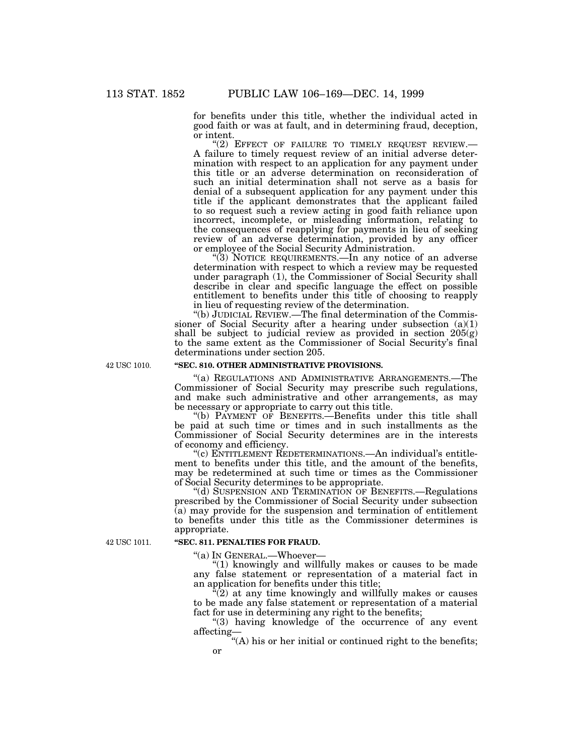for benefits under this title, whether the individual acted in good faith or was at fault, and in determining fraud, deception, or intent.<br>"(2) EFFECT OF FAILURE TO TIMELY REQUEST REVIEW.—

A failure to timely request review of an initial adverse determination with respect to an application for any payment under this title or an adverse determination on reconsideration of such an initial determination shall not serve as a basis for denial of a subsequent application for any payment under this title if the applicant demonstrates that the applicant failed to so request such a review acting in good faith reliance upon incorrect, incomplete, or misleading information, relating to the consequences of reapplying for payments in lieu of seeking review of an adverse determination, provided by any officer or employee of the Social Security Administration.

''(3) NOTICE REQUIREMENTS.—In any notice of an adverse determination with respect to which a review may be requested under paragraph (1), the Commissioner of Social Security shall describe in clear and specific language the effect on possible entitlement to benefits under this title of choosing to reapply in lieu of requesting review of the determination.

''(b) JUDICIAL REVIEW.—The final determination of the Commissioner of Social Security after a hearing under subsection (a)(1) shall be subject to judicial review as provided in section 205(g) to the same extent as the Commissioner of Social Security's final determinations under section 205.

42 USC 1010.

#### **''SEC. 810. OTHER ADMINISTRATIVE PROVISIONS.**

''(a) REGULATIONS AND ADMINISTRATIVE ARRANGEMENTS.—The Commissioner of Social Security may prescribe such regulations, and make such administrative and other arrangements, as may be necessary or appropriate to carry out this title.

''(b) PAYMENT OF BENEFITS.—Benefits under this title shall be paid at such time or times and in such installments as the Commissioner of Social Security determines are in the interests of economy and efficiency.

''(c) ENTITLEMENT REDETERMINATIONS.—An individual's entitlement to benefits under this title, and the amount of the benefits, may be redetermined at such time or times as the Commissioner of Social Security determines to be appropriate.

''(d) SUSPENSION AND TERMINATION OF BENEFITS.—Regulations prescribed by the Commissioner of Social Security under subsection (a) may provide for the suspension and termination of entitlement to benefits under this title as the Commissioner determines is appropriate.

42 USC 1011.

#### **''SEC. 811. PENALTIES FOR FRAUD.**

''(a) IN GENERAL.—Whoever—

 $(1)$  knowingly and willfully makes or causes to be made any false statement or representation of a material fact in an application for benefits under this title;

 $\mathcal{E}(2)$  at any time knowingly and willfully makes or causes to be made any false statement or representation of a material fact for use in determining any right to the benefits;

''(3) having knowledge of the occurrence of any event affecting—

"(A) his or her initial or continued right to the benefits; or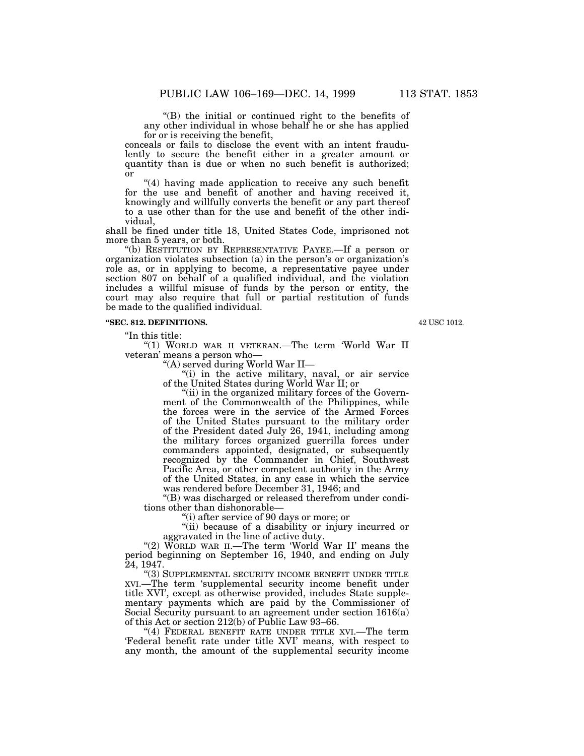''(B) the initial or continued right to the benefits of any other individual in whose behalf he or she has applied for or is receiving the benefit,

conceals or fails to disclose the event with an intent fraudulently to secure the benefit either in a greater amount or quantity than is due or when no such benefit is authorized; or

"(4) having made application to receive any such benefit for the use and benefit of another and having received it, knowingly and willfully converts the benefit or any part thereof to a use other than for the use and benefit of the other individual,

shall be fined under title 18, United States Code, imprisoned not more than 5 years, or both.

''(b) RESTITUTION BY REPRESENTATIVE PAYEE.—If a person or organization violates subsection (a) in the person's or organization's role as, or in applying to become, a representative payee under section 807 on behalf of a qualified individual, and the violation includes a willful misuse of funds by the person or entity, the court may also require that full or partial restitution of funds be made to the qualified individual.

#### **''SEC. 812. DEFINITIONS.**

''In this title:

''(1) WORLD WAR II VETERAN.—The term 'World War II veteran' means a person who—

''(A) served during World War II—

"(i) in the active military, naval, or air service of the United States during World War II; or

"(ii) in the organized military forces of the Government of the Commonwealth of the Philippines, while the forces were in the service of the Armed Forces of the United States pursuant to the military order of the President dated July 26, 1941, including among the military forces organized guerrilla forces under commanders appointed, designated, or subsequently recognized by the Commander in Chief, Southwest Pacific Area, or other competent authority in the Army of the United States, in any case in which the service was rendered before December 31, 1946; and

''(B) was discharged or released therefrom under conditions other than dishonorable—

''(i) after service of 90 days or more; or

"(ii) because of a disability or injury incurred or aggravated in the line of active duty.

"(2) WORLD WAR II.—The term 'World War II' means the period beginning on September 16, 1940, and ending on July 24, 1947.

"(3) SUPPLEMENTAL SECURITY INCOME BENEFIT UNDER TITLE XVI.—The term 'supplemental security income benefit under title XVI', except as otherwise provided, includes State supplementary payments which are paid by the Commissioner of Social Security pursuant to an agreement under section 1616(a) of this Act or section 212(b) of Public Law 93–66.

"(4) FEDERAL BENEFIT RATE UNDER TITLE XVI.—The term 'Federal benefit rate under title XVI' means, with respect to any month, the amount of the supplemental security income

42 USC 1012.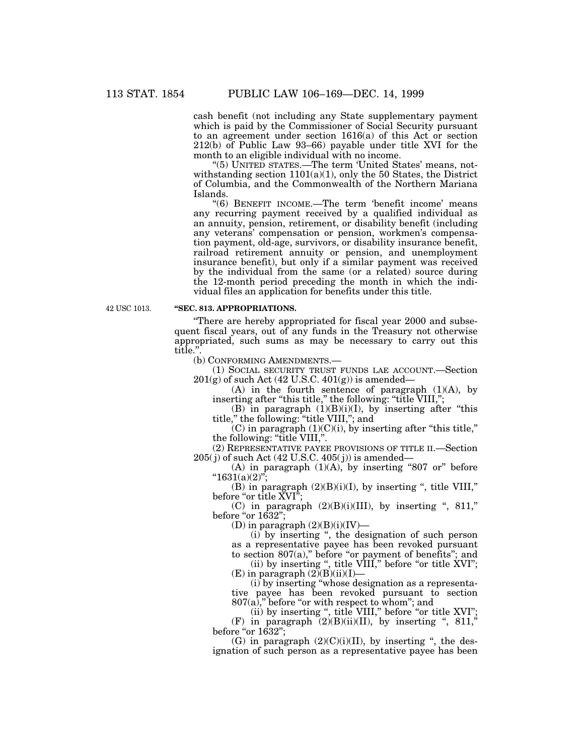cash benefit (not including any State supplementary payment which is paid by the Commissioner of Social Security pursuant to an agreement under section 1616(a) of this Act or section 212(b) of Public Law 93–66) payable under title XVI for the month to an eligible individual with no income.

''(5) UNITED STATES.—The term 'United States' means, notwithstanding section 1101(a)(1), only the 50 States, the District of Columbia, and the Commonwealth of the Northern Mariana Islands.

''(6) BENEFIT INCOME.—The term 'benefit income' means any recurring payment received by a qualified individual as an annuity, pension, retirement, or disability benefit (including any veterans' compensation or pension, workmen's compensation payment, old-age, survivors, or disability insurance benefit, railroad retirement annuity or pension, and unemployment insurance benefit), but only if a similar payment was received by the individual from the same (or a related) source during the 12-month period preceding the month in which the individual files an application for benefits under this title.

42 USC 1013.

#### **''SEC. 813. APPROPRIATIONS.**

''There are hereby appropriated for fiscal year 2000 and subsequent fiscal years, out of any funds in the Treasury not otherwise appropriated, such sums as may be necessary to carry out this title.''.

(b) CONFORMING AMENDMENTS.—

(1) SOCIAL SECURITY TRUST FUNDS LAE ACCOUNT.—Section  $201(g)$  of such Act (42 U.S.C. 401(g)) is amended—

 $(A)$  in the fourth sentence of paragraph  $(1)(A)$ , by inserting after "this title," the following: "title VIII,";

(B) in paragraph  $(1)(B)(i)(I)$ , by inserting after "this title,'' the following: ''title VIII,''; and

 $(C)$  in paragraph  $(1)(C)(i)$ , by inserting after "this title," the following: "title VIII,".

(2) REPRESENTATIVE PAYEE PROVISIONS OF TITLE II.—Section  $205(j)$  of such Act (42 U.S.C. 405(j)) is amended–

(A) in paragraph  $(1)(A)$ , by inserting "807 or" before  $"1631(a)(2)";$ 

(B) in paragraph  $(2)(B)(i)(I)$ , by inserting ", title VIII," before "or title  $XVI''$ ;

(C) in paragraph  $(2)(B)(i)(III)$ , by inserting ", 811," before "or  $1632$ ";

(D) in paragraph  $(2)(B)(i)(IV)$ —

(i) by inserting '', the designation of such person as a representative payee has been revoked pursuant

to section 807(a)," before "or payment of benefits"; and (ii) by inserting ", title VIII," before "or title XVI";

 $(E)$  in paragraph  $(2)(B)(ii)(I)$ — (i) by inserting ''whose designation as a representa-

tive payee has been revoked pursuant to section 807(a)," before "or with respect to whom"; and

(ii) by inserting ", title VIII," before "or title XVI";

(F) in paragraph  $(2)(B)(ii)(II)$ , by inserting ", 811," before "or 1632";

 $(G)$  in paragraph  $(2)(C)(i)(II)$ , by inserting ", the designation of such person as a representative payee has been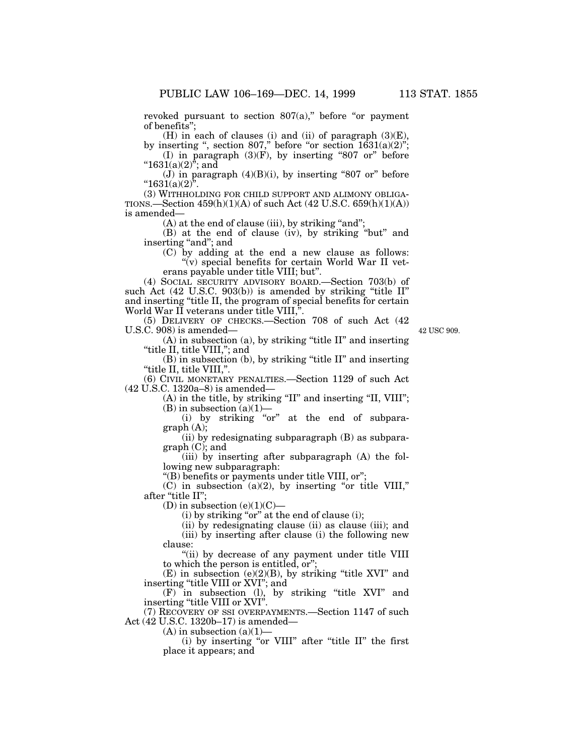revoked pursuant to section  $807(a)$ ," before "or payment of benefits'';

 $(H)$  in each of clauses (i) and (ii) of paragraph  $(3)(E)$ ,

by inserting ", section 807," before "or section  $1631(a)(2)$ "; (I) in paragraph  $(3)(\vec{F})$ , by inserting "807 or" before " $1631(a)(2)$ "; and

(J) in paragraph  $(4)(B)(i)$ , by inserting "807 or" before " $1631(a)(2)^{y}$ ".

(3) WITHHOLDING FOR CHILD SUPPORT AND ALIMONY OBLIGA-TIONS.—Section  $459(h)(1)(A)$  of such Act  $(42 \text{ U.S.C. } 659(h)(1)(A))$ is amended—

 $(A)$  at the end of clause (iii), by striking "and";

(B) at the end of clause (iv), by striking ''but'' and inserting "and"; and

(C) by adding at the end a new clause as follows: "(v) special benefits for certain World War II veterans payable under title VIII; but''.

(4) SOCIAL SECURITY ADVISORY BOARD.—Section 703(b) of such Act (42 U.S.C. 903(b)) is amended by striking "title II" and inserting "title II, the program of special benefits for certain World War II veterans under title VIII,".

(5) DELIVERY OF CHECKS.—Section 708 of such Act (42 U.S.C. 908) is amended—

42 USC 909.

 $(A)$  in subsection  $(a)$ , by striking "title II" and inserting "title II, title VIII,"; and

(B) in subsection (b), by striking ''title II'' and inserting ''title II, title VIII,''.

(6) CIVIL MONETARY PENALTIES.—Section 1129 of such Act (42 U.S.C. 1320a–8) is amended—

(A) in the title, by striking "II" and inserting "II, VIII";  $(B)$  in subsection  $(a)(1)$ —

(i) by striking "or" at the end of subparagraph (A);

(ii) by redesignating subparagraph (B) as subparagraph (C); and

(iii) by inserting after subparagraph (A) the following new subparagraph:

''(B) benefits or payments under title VIII, or'';

 $(C)$  in subsection  $(a)(2)$ , by inserting "or title VIII," after "title II";

(D) in subsection  $(e)(1)(C)$ —

(i) by striking "or" at the end of clause (i);

(ii) by redesignating clause (ii) as clause (iii); and

(iii) by inserting after clause (i) the following new clause:

''(ii) by decrease of any payment under title VIII to which the person is entitled, or"

 $(E)$  in subsection (e)(2)(B), by striking "title XVI" and inserting ''title VIII or XVI''; and

(F) in subsection (l), by striking ''title XVI'' and inserting ''title VIII or XVI''.

(7) RECOVERY OF SSI OVERPAYMENTS.—Section 1147 of such Act (42 U.S.C. 1320b–17) is amended—

 $(A)$  in subsection  $(a)(1)$ 

(i) by inserting "or VIII" after "title II" the first place it appears; and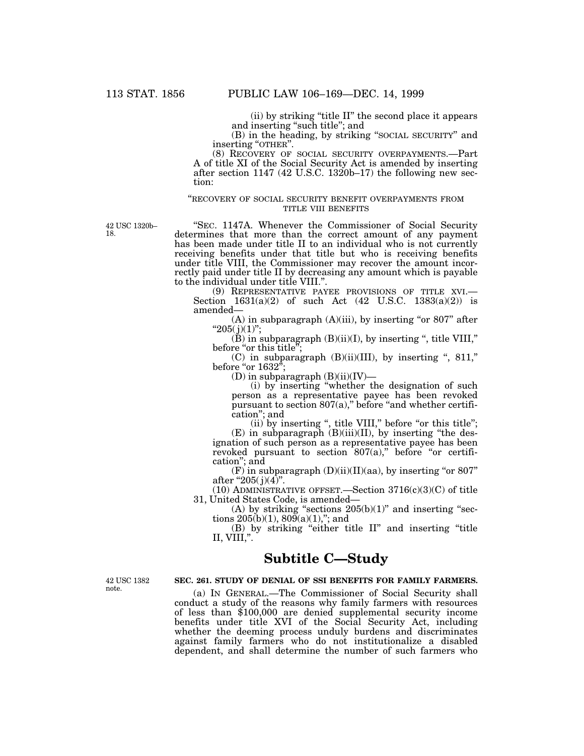(ii) by striking ''title II'' the second place it appears and inserting ''such title''; and

(B) in the heading, by striking ''SOCIAL SECURITY'' and inserting ''OTHER''.

(8) RECOVERY OF SOCIAL SECURITY OVERPAYMENTS.—Part A of title XI of the Social Security Act is amended by inserting after section 1147 (42 U.S.C. 1320b–17) the following new section:

# "RECOVERY OF SOCIAL SECURITY BENEFIT OVERPAYMENTS FROM TITLE VIII BENEFITS

42 USC 1320b– 18.

''SEC. 1147A. Whenever the Commissioner of Social Security determines that more than the correct amount of any payment has been made under title II to an individual who is not currently receiving benefits under that title but who is receiving benefits under title VIII, the Commissioner may recover the amount incorrectly paid under title II by decreasing any amount which is payable to the individual under title VIII.".<br>
(9) REPRESENTATIVE PAYEE PROVISIONS OF TITLE XVI.—

Section  $1631(a)(2)$  of such Act (42 U.S.C. 1383(a)(2)) is amended—

 $(A)$  in subparagraph  $(A)(iii)$ , by inserting "or 807" after "205(j)(1)";

 $(\check{B})$  in subparagraph  $(B)(ii)(I)$ , by inserting ", title VIII," before "or this title";

 $(C)$  in subparagraph  $(B)(ii)(III)$ , by inserting ", 811," before "or 1632";

(D) in subparagraph  $(B)(ii)(IV)$ —

(i) by inserting ''whether the designation of such person as a representative payee has been revoked pursuant to section  $807(a)$ ," before "and whether certification''; and

(ii) by inserting ", title VIII," before "or this title";  $(E)$  in subparagraph  $(B)(iii)(II)$ , by inserting "the designation of such person as a representative payee has been revoked pursuant to section  $807(a)$ ," before "or certification''; and

 $(F)$  in subparagraph  $(D)(ii)(II)(aa)$ , by inserting "or 807" after "205( $j$ )(4)".

(10) ADMINISTRATIVE OFFSET.—Section  $3716(c)(3)(C)$  of title 31, United States Code, is amended—

(A) by striking "sections  $205(b)(1)$ " and inserting "sections  $205(b)(1)$ ,  $809(a)(1)$ ,"; and

(B) by striking ''either title II'' and inserting ''title II, VIII,''.

# **Subtitle C—Study**

42 USC 1382 note.

# **SEC. 261. STUDY OF DENIAL OF SSI BENEFITS FOR FAMILY FARMERS.**

(a) IN GENERAL.—The Commissioner of Social Security shall conduct a study of the reasons why family farmers with resources of less than \$100,000 are denied supplemental security income benefits under title XVI of the Social Security Act, including whether the deeming process unduly burdens and discriminates against family farmers who do not institutionalize a disabled dependent, and shall determine the number of such farmers who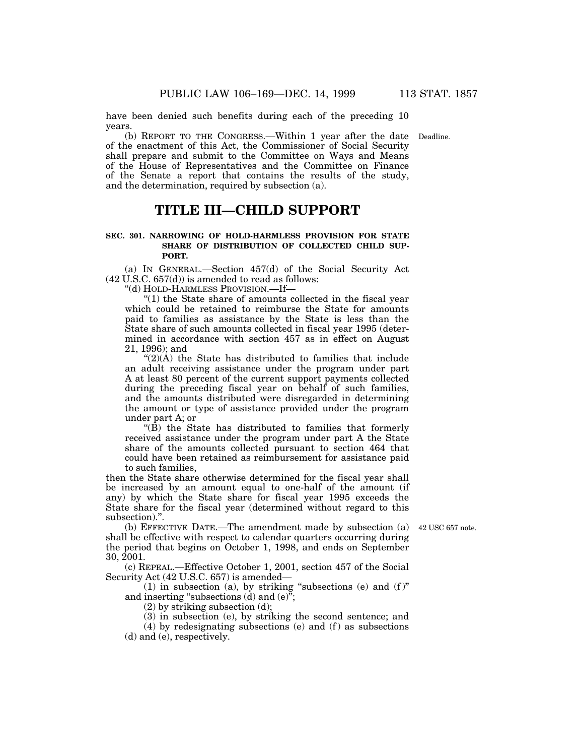have been denied such benefits during each of the preceding 10 years.

(b) REPORT TO THE CONGRESS.—Within 1 year after the date Deadline. of the enactment of this Act, the Commissioner of Social Security shall prepare and submit to the Committee on Ways and Means of the House of Representatives and the Committee on Finance of the Senate a report that contains the results of the study, and the determination, required by subsection (a).

# **TITLE III—CHILD SUPPORT**

# **SEC. 301. NARROWING OF HOLD-HARMLESS PROVISION FOR STATE SHARE OF DISTRIBUTION OF COLLECTED CHILD SUP-PORT.**

(a) IN GENERAL.—Section 457(d) of the Social Security Act (42 U.S.C. 657(d)) is amended to read as follows:

''(d) HOLD-HARMLESS PROVISION.—If—

" $(1)$  the State share of amounts collected in the fiscal year which could be retained to reimburse the State for amounts paid to families as assistance by the State is less than the State share of such amounts collected in fiscal year 1995 (determined in accordance with section 457 as in effect on August 21, 1996); and

 $\text{``(2)}$ (A) the State has distributed to families that include an adult receiving assistance under the program under part A at least 80 percent of the current support payments collected during the preceding fiscal year on behalf of such families, and the amounts distributed were disregarded in determining the amount or type of assistance provided under the program under part A; or

" $(\hat{B})$  the State has distributed to families that formerly received assistance under the program under part A the State share of the amounts collected pursuant to section 464 that could have been retained as reimbursement for assistance paid to such families,

then the State share otherwise determined for the fiscal year shall be increased by an amount equal to one-half of the amount (if any) by which the State share for fiscal year 1995 exceeds the State share for the fiscal year (determined without regard to this subsection).''.

42 USC 657 note.

(b) EFFECTIVE DATE.—The amendment made by subsection (a) shall be effective with respect to calendar quarters occurring during the period that begins on October 1, 1998, and ends on September 30, 2001.

(c) REPEAL.—Effective October 1, 2001, section 457 of the Social Security Act (42 U.S.C. 657) is amended—

(1) in subsection (a), by striking "subsections (e) and  $(f)$ " and inserting "subsections  $(d)$  and  $(e)$ ";

(2) by striking subsection (d);

(3) in subsection (e), by striking the second sentence; and

(4) by redesignating subsections (e) and (f) as subsections (d) and (e), respectively.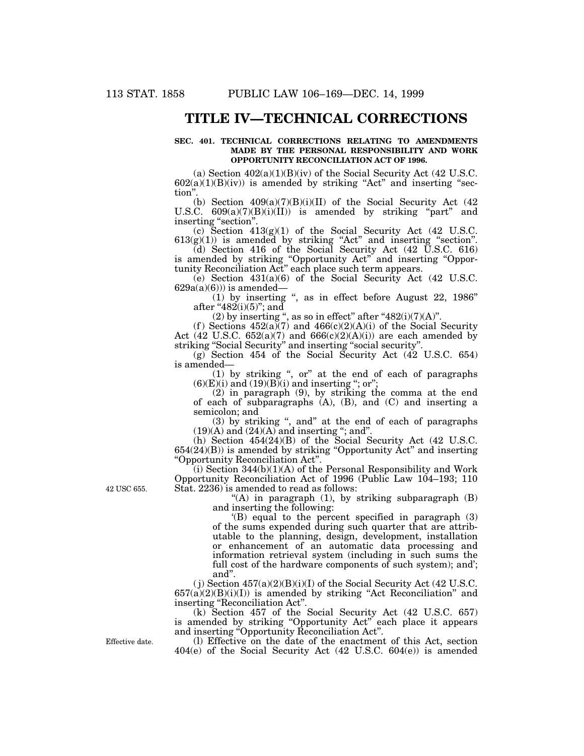# **TITLE IV—TECHNICAL CORRECTIONS**

### **SEC. 401. TECHNICAL CORRECTIONS RELATING TO AMENDMENTS MADE BY THE PERSONAL RESPONSIBILITY AND WORK OPPORTUNITY RECONCILIATION ACT OF 1996.**

(a) Section  $402(a)(1)(B)(iv)$  of the Social Security Act (42 U.S.C.  $602(a)(1)(B)(iv)$  is amended by striking "Act" and inserting "section''.

(b) Section  $409(a)(7)(B)(i)(II)$  of the Social Security Act (42) U.S.C.  $609(a)(7)(B)(i)(II)$  is amended by striking "part" and inserting "section".

(c) Section 413(g)(1) of the Social Security Act (42 U.S.C.  $613(g)(1)$  is amended by striking "Act" and inserting "section".

(d) Section 416 of the Social Security Act (42 U.S.C. 616) is amended by striking ''Opportunity Act'' and inserting ''Opportunity Reconciliation Act'' each place such term appears.

(e) Section 431(a)(6) of the Social Security Act (42 U.S.C.  $629a(a)(6))$ ) is amended—

 $(1)$  by inserting ", as in effect before August 22, 1986" after "482(i)(5)"; and

(2) by inserting ", as so in effect" after " $482(i)(7)(A)$ ".

(f) Sections  $452(a)(7)$  and  $466(c)(2)(A)(i)$  of the Social Security Act (42 U.S.C.  $652(a)(7)$  and  $666(c)(2)(A)(i)$ ) are each amended by striking ''Social Security'' and inserting ''social security''.

(g) Section 454 of the Social Security Act (42 U.S.C. 654) is amended—

(1) by striking '', or'' at the end of each of paragraphs  $(6)(E)(i)$  and  $(19)(B)(i)$  and inserting "; or";

(2) in paragraph (9), by striking the comma at the end of each of subparagraphs (A), (B), and (C) and inserting a semicolon; and

(3) by striking '', and'' at the end of each of paragraphs  $(19)(A)$  and  $(24)(A)$  and inserting "; and".

(h) Section 454(24)(B) of the Social Security Act (42 U.S.C.  $654(24)(B)$ ) is amended by striking "Opportunity  $\text{Act}$ " and inserting ''Opportunity Reconciliation Act''.

 $(i)$  Section 344 $(b)(1)(A)$  of the Personal Responsibility and Work Opportunity Reconciliation Act of 1996 (Public Law 104–193; 110 Stat. 2236) is amended to read as follows:

"(A) in paragraph (1), by striking subparagraph (B) and inserting the following:

'(B) equal to the percent specified in paragraph (3) of the sums expended during such quarter that are attributable to the planning, design, development, installation or enhancement of an automatic data processing and information retrieval system (including in such sums the full cost of the hardware components of such system); and'; and''.

(*j*) Section  $457(a)(2)(B)(i)(I)$  of the Social Security Act (42 U.S.C. 657(a)(2)(B)(i)(I)) is amended by striking ''Act Reconciliation'' and inserting ''Reconciliation Act''.

(k) Section 457 of the Social Security Act (42 U.S.C. 657) is amended by striking ''Opportunity Act'' each place it appears and inserting ''Opportunity Reconciliation Act''.

(l) Effective on the date of the enactment of this Act, section 404(e) of the Social Security Act (42 U.S.C. 604(e)) is amended

42 USC 655.

Effective date.